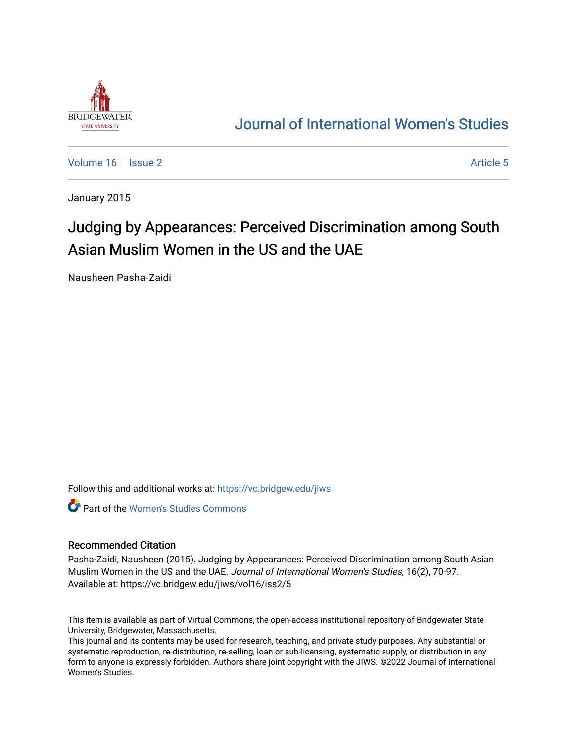

# [Journal of International Women's Studies](https://vc.bridgew.edu/jiws)

[Volume 16](https://vc.bridgew.edu/jiws/vol16) September 2 Article 5

January 2015

# Judging by Appearances: Perceived Discrimination among South Asian Muslim Women in the US and the UAE

Nausheen Pasha-Zaidi

Follow this and additional works at: [https://vc.bridgew.edu/jiws](https://vc.bridgew.edu/jiws?utm_source=vc.bridgew.edu%2Fjiws%2Fvol16%2Fiss2%2F5&utm_medium=PDF&utm_campaign=PDFCoverPages)

**C** Part of the Women's Studies Commons

#### Recommended Citation

Pasha-Zaidi, Nausheen (2015). Judging by Appearances: Perceived Discrimination among South Asian Muslim Women in the US and the UAE. Journal of International Women's Studies, 16(2), 70-97. Available at: https://vc.bridgew.edu/jiws/vol16/iss2/5

This item is available as part of Virtual Commons, the open-access institutional repository of Bridgewater State University, Bridgewater, Massachusetts.

This journal and its contents may be used for research, teaching, and private study purposes. Any substantial or systematic reproduction, re-distribution, re-selling, loan or sub-licensing, systematic supply, or distribution in any form to anyone is expressly forbidden. Authors share joint copyright with the JIWS. ©2022 Journal of International Women's Studies.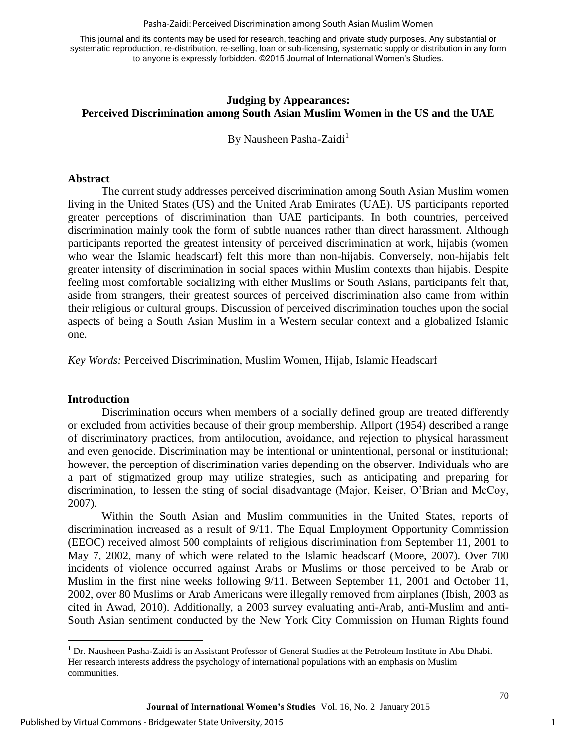Pasha-Zaidi: Perceived Discrimination among South Asian Muslim Women

This journal and its contents may be used for research, teaching and private study purposes. Any substantial or systematic reproduction, re-distribution, re-selling, loan or sub-licensing, systematic supply or distribution in any form to anyone is expressly forbidden. ©2015 Journal of International Women's Studies.

## **Judging by Appearances: Perceived Discrimination among South Asian Muslim Women in the US and the UAE**

By Nausheen Pasha-Zaidi<sup>1</sup>

## **Abstract**

The current study addresses perceived discrimination among South Asian Muslim women living in the United States (US) and the United Arab Emirates (UAE). US participants reported greater perceptions of discrimination than UAE participants. In both countries, perceived discrimination mainly took the form of subtle nuances rather than direct harassment. Although participants reported the greatest intensity of perceived discrimination at work, hijabis (women who wear the Islamic headscarf) felt this more than non-hijabis. Conversely, non-hijabis felt greater intensity of discrimination in social spaces within Muslim contexts than hijabis. Despite feeling most comfortable socializing with either Muslims or South Asians, participants felt that, aside from strangers, their greatest sources of perceived discrimination also came from within their religious or cultural groups. Discussion of perceived discrimination touches upon the social aspects of being a South Asian Muslim in a Western secular context and a globalized Islamic one.

*Key Words:* Perceived Discrimination, Muslim Women, Hijab, Islamic Headscarf

#### **Introduction**

 $\overline{\phantom{a}}$ 

Discrimination occurs when members of a socially defined group are treated differently or excluded from activities because of their group membership. Allport (1954) described a range of discriminatory practices, from antilocution, avoidance, and rejection to physical harassment and even genocide. Discrimination may be intentional or unintentional, personal or institutional; however, the perception of discrimination varies depending on the observer. Individuals who are a part of stigmatized group may utilize strategies, such as anticipating and preparing for discrimination, to lessen the sting of social disadvantage (Major, Keiser, O'Brian and McCoy, 2007).

Within the South Asian and Muslim communities in the United States, reports of discrimination increased as a result of 9/11. The Equal Employment Opportunity Commission (EEOC) received almost 500 complaints of religious discrimination from September 11, 2001 to May 7, 2002, many of which were related to the Islamic headscarf (Moore, 2007). Over 700 incidents of violence occurred against Arabs or Muslims or those perceived to be Arab or Muslim in the first nine weeks following 9/11. Between September 11, 2001 and October 11, 2002, over 80 Muslims or Arab Americans were illegally removed from airplanes (Ibish, 2003 as cited in Awad, 2010). Additionally, a 2003 survey evaluating anti-Arab, anti-Muslim and anti-South Asian sentiment conducted by the New York City Commission on Human Rights found

1

<sup>&</sup>lt;sup>1</sup> Dr. Nausheen Pasha-Zaidi is an Assistant Professor of General Studies at the Petroleum Institute in Abu Dhabi. Her research interests address the psychology of international populations with an emphasis on Muslim communities.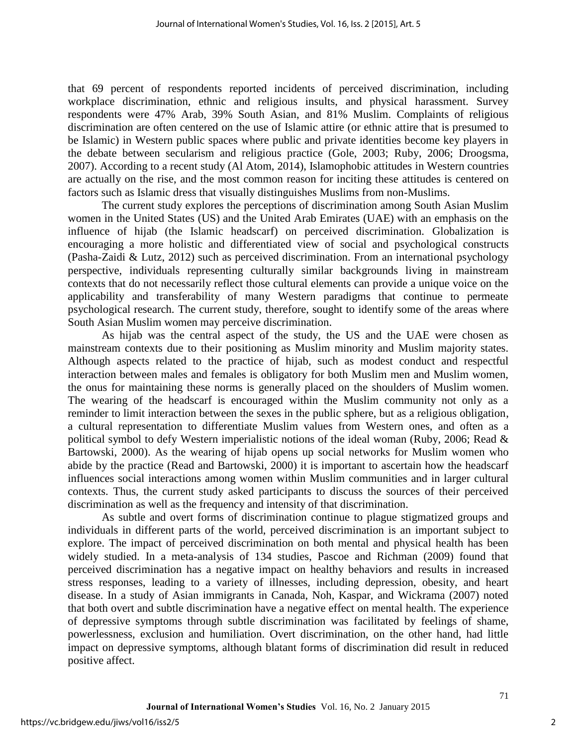that 69 percent of respondents reported incidents of perceived discrimination, including workplace discrimination, ethnic and religious insults, and physical harassment. Survey respondents were 47% Arab, 39% South Asian, and 81% Muslim. Complaints of religious discrimination are often centered on the use of Islamic attire (or ethnic attire that is presumed to be Islamic) in Western public spaces where public and private identities become key players in the debate between secularism and religious practice (Gole, 2003; Ruby, 2006; Droogsma, 2007). According to a recent study (Al Atom, 2014), Islamophobic attitudes in Western countries are actually on the rise, and the most common reason for inciting these attitudes is centered on factors such as Islamic dress that visually distinguishes Muslims from non-Muslims.

The current study explores the perceptions of discrimination among South Asian Muslim women in the United States (US) and the United Arab Emirates (UAE) with an emphasis on the influence of hijab (the Islamic headscarf) on perceived discrimination. Globalization is encouraging a more holistic and differentiated view of social and psychological constructs (Pasha-Zaidi & Lutz, 2012) such as perceived discrimination. From an international psychology perspective, individuals representing culturally similar backgrounds living in mainstream contexts that do not necessarily reflect those cultural elements can provide a unique voice on the applicability and transferability of many Western paradigms that continue to permeate psychological research. The current study, therefore, sought to identify some of the areas where South Asian Muslim women may perceive discrimination.

As hijab was the central aspect of the study, the US and the UAE were chosen as mainstream contexts due to their positioning as Muslim minority and Muslim majority states. Although aspects related to the practice of hijab, such as modest conduct and respectful interaction between males and females is obligatory for both Muslim men and Muslim women, the onus for maintaining these norms is generally placed on the shoulders of Muslim women. The wearing of the headscarf is encouraged within the Muslim community not only as a reminder to limit interaction between the sexes in the public sphere, but as a religious obligation, a cultural representation to differentiate Muslim values from Western ones, and often as a political symbol to defy Western imperialistic notions of the ideal woman (Ruby, 2006; Read & Bartowski, 2000). As the wearing of hijab opens up social networks for Muslim women who abide by the practice (Read and Bartowski, 2000) it is important to ascertain how the headscarf influences social interactions among women within Muslim communities and in larger cultural contexts. Thus, the current study asked participants to discuss the sources of their perceived discrimination as well as the frequency and intensity of that discrimination.

As subtle and overt forms of discrimination continue to plague stigmatized groups and individuals in different parts of the world, perceived discrimination is an important subject to explore. The impact of perceived discrimination on both mental and physical health has been widely studied. In a meta-analysis of 134 studies, Pascoe and Richman (2009) found that perceived discrimination has a negative impact on healthy behaviors and results in increased stress responses, leading to a variety of illnesses, including depression, obesity, and heart disease. In a study of Asian immigrants in Canada, Noh, Kaspar, and Wickrama (2007) noted that both overt and subtle discrimination have a negative effect on mental health. The experience of depressive symptoms through subtle discrimination was facilitated by feelings of shame, powerlessness, exclusion and humiliation. Overt discrimination, on the other hand, had little impact on depressive symptoms, although blatant forms of discrimination did result in reduced positive affect.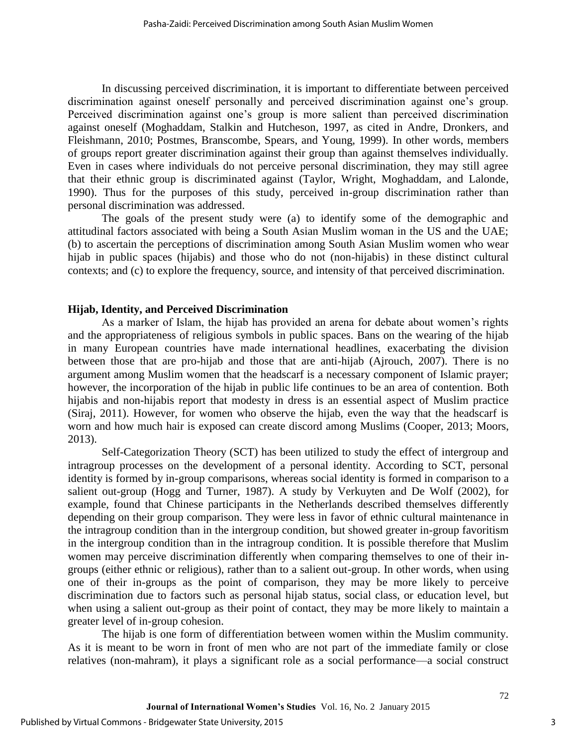In discussing perceived discrimination, it is important to differentiate between perceived discrimination against oneself personally and perceived discrimination against one's group. Perceived discrimination against one's group is more salient than perceived discrimination against oneself (Moghaddam, Stalkin and Hutcheson, 1997, as cited in Andre, Dronkers, and Fleishmann, 2010; Postmes, Branscombe, Spears, and Young, 1999). In other words, members of groups report greater discrimination against their group than against themselves individually. Even in cases where individuals do not perceive personal discrimination, they may still agree that their ethnic group is discriminated against (Taylor, Wright, Moghaddam, and Lalonde, 1990). Thus for the purposes of this study, perceived in-group discrimination rather than personal discrimination was addressed.

The goals of the present study were (a) to identify some of the demographic and attitudinal factors associated with being a South Asian Muslim woman in the US and the UAE; (b) to ascertain the perceptions of discrimination among South Asian Muslim women who wear hijab in public spaces (hijabis) and those who do not (non-hijabis) in these distinct cultural contexts; and (c) to explore the frequency, source, and intensity of that perceived discrimination.

#### **Hijab, Identity, and Perceived Discrimination**

As a marker of Islam, the hijab has provided an arena for debate about women's rights and the appropriateness of religious symbols in public spaces. Bans on the wearing of the hijab in many European countries have made international headlines, exacerbating the division between those that are pro-hijab and those that are anti-hijab (Ajrouch, 2007). There is no argument among Muslim women that the headscarf is a necessary component of Islamic prayer; however, the incorporation of the hijab in public life continues to be an area of contention. Both hijabis and non-hijabis report that modesty in dress is an essential aspect of Muslim practice (Siraj, 2011). However, for women who observe the hijab, even the way that the headscarf is worn and how much hair is exposed can create discord among Muslims (Cooper, 2013; Moors, 2013).

Self-Categorization Theory (SCT) has been utilized to study the effect of intergroup and intragroup processes on the development of a personal identity. According to SCT, personal identity is formed by in-group comparisons, whereas social identity is formed in comparison to a salient out-group (Hogg and Turner, 1987). A study by Verkuyten and De Wolf (2002), for example, found that Chinese participants in the Netherlands described themselves differently depending on their group comparison. They were less in favor of ethnic cultural maintenance in the intragroup condition than in the intergroup condition, but showed greater in-group favoritism in the intergroup condition than in the intragroup condition. It is possible therefore that Muslim women may perceive discrimination differently when comparing themselves to one of their ingroups (either ethnic or religious), rather than to a salient out-group. In other words, when using one of their in-groups as the point of comparison, they may be more likely to perceive discrimination due to factors such as personal hijab status, social class, or education level, but when using a salient out-group as their point of contact, they may be more likely to maintain a greater level of in-group cohesion.

The hijab is one form of differentiation between women within the Muslim community. As it is meant to be worn in front of men who are not part of the immediate family or close relatives (non-mahram), it plays a significant role as a social performance—a social construct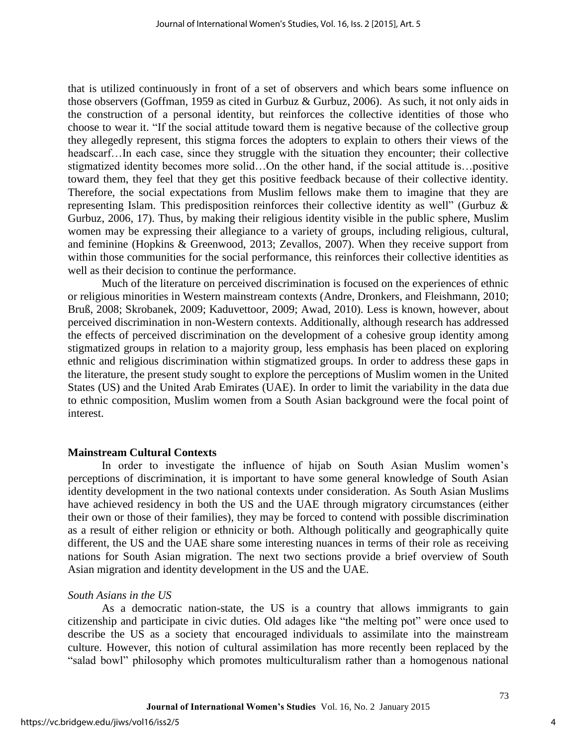that is utilized continuously in front of a set of observers and which bears some influence on those observers (Goffman, 1959 as cited in Gurbuz & Gurbuz, 2006). As such, it not only aids in the construction of a personal identity, but reinforces the collective identities of those who choose to wear it. "If the social attitude toward them is negative because of the collective group they allegedly represent, this stigma forces the adopters to explain to others their views of the headscarf…In each case, since they struggle with the situation they encounter; their collective stigmatized identity becomes more solid…On the other hand, if the social attitude is…positive toward them, they feel that they get this positive feedback because of their collective identity. Therefore, the social expectations from Muslim fellows make them to imagine that they are representing Islam. This predisposition reinforces their collective identity as well" (Gurbuz & Gurbuz, 2006, 17). Thus, by making their religious identity visible in the public sphere, Muslim women may be expressing their allegiance to a variety of groups, including religious, cultural, and feminine (Hopkins & Greenwood, 2013; Zevallos, 2007). When they receive support from within those communities for the social performance, this reinforces their collective identities as well as their decision to continue the performance.

Much of the literature on perceived discrimination is focused on the experiences of ethnic or religious minorities in Western mainstream contexts (Andre, Dronkers, and Fleishmann, 2010; Bruß, 2008; Skrobanek, 2009; Kaduvettoor, 2009; Awad, 2010). Less is known, however, about perceived discrimination in non-Western contexts. Additionally, although research has addressed the effects of perceived discrimination on the development of a cohesive group identity among stigmatized groups in relation to a majority group, less emphasis has been placed on exploring ethnic and religious discrimination within stigmatized groups. In order to address these gaps in the literature, the present study sought to explore the perceptions of Muslim women in the United States (US) and the United Arab Emirates (UAE). In order to limit the variability in the data due to ethnic composition, Muslim women from a South Asian background were the focal point of interest.

#### **Mainstream Cultural Contexts**

In order to investigate the influence of hijab on South Asian Muslim women's perceptions of discrimination, it is important to have some general knowledge of South Asian identity development in the two national contexts under consideration. As South Asian Muslims have achieved residency in both the US and the UAE through migratory circumstances (either their own or those of their families), they may be forced to contend with possible discrimination as a result of either religion or ethnicity or both. Although politically and geographically quite different, the US and the UAE share some interesting nuances in terms of their role as receiving nations for South Asian migration. The next two sections provide a brief overview of South Asian migration and identity development in the US and the UAE.

#### *South Asians in the US*

As a democratic nation-state, the US is a country that allows immigrants to gain citizenship and participate in civic duties. Old adages like "the melting pot" were once used to describe the US as a society that encouraged individuals to assimilate into the mainstream culture. However, this notion of cultural assimilation has more recently been replaced by the "salad bowl" philosophy which promotes multiculturalism rather than a homogenous national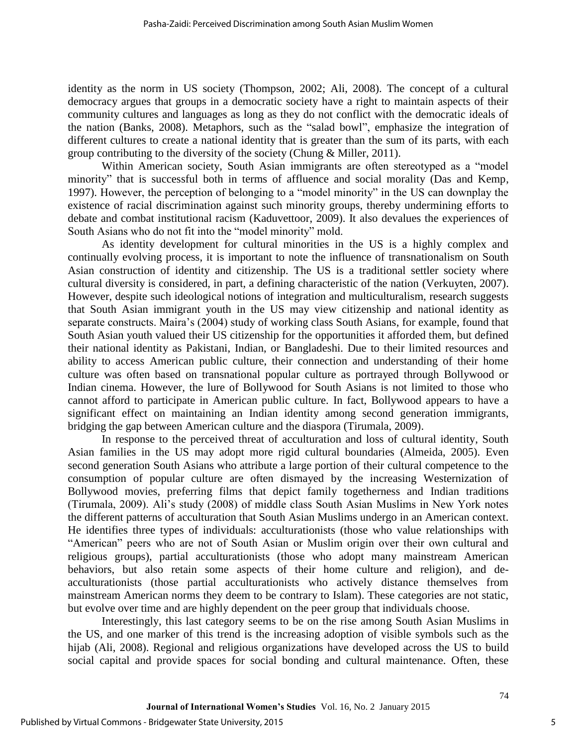identity as the norm in US society (Thompson, 2002; Ali, 2008). The concept of a cultural democracy argues that groups in a democratic society have a right to maintain aspects of their community cultures and languages as long as they do not conflict with the democratic ideals of the nation (Banks, 2008). Metaphors, such as the "salad bowl", emphasize the integration of different cultures to create a national identity that is greater than the sum of its parts, with each group contributing to the diversity of the society (Chung & Miller, 2011).

Within American society, South Asian immigrants are often stereotyped as a "model minority" that is successful both in terms of affluence and social morality (Das and Kemp, 1997). However, the perception of belonging to a "model minority" in the US can downplay the existence of racial discrimination against such minority groups, thereby undermining efforts to debate and combat institutional racism (Kaduvettoor, 2009). It also devalues the experiences of South Asians who do not fit into the "model minority" mold.

As identity development for cultural minorities in the US is a highly complex and continually evolving process, it is important to note the influence of transnationalism on South Asian construction of identity and citizenship. The US is a traditional settler society where cultural diversity is considered, in part, a defining characteristic of the nation (Verkuyten, 2007). However, despite such ideological notions of integration and multiculturalism, research suggests that South Asian immigrant youth in the US may view citizenship and national identity as separate constructs. Maira's (2004) study of working class South Asians, for example, found that South Asian youth valued their US citizenship for the opportunities it afforded them, but defined their national identity as Pakistani, Indian, or Bangladeshi. Due to their limited resources and ability to access American public culture, their connection and understanding of their home culture was often based on transnational popular culture as portrayed through Bollywood or Indian cinema. However, the lure of Bollywood for South Asians is not limited to those who cannot afford to participate in American public culture. In fact, Bollywood appears to have a significant effect on maintaining an Indian identity among second generation immigrants, bridging the gap between American culture and the diaspora (Tirumala, 2009).

In response to the perceived threat of acculturation and loss of cultural identity, South Asian families in the US may adopt more rigid cultural boundaries (Almeida, 2005). Even second generation South Asians who attribute a large portion of their cultural competence to the consumption of popular culture are often dismayed by the increasing Westernization of Bollywood movies, preferring films that depict family togetherness and Indian traditions (Tirumala, 2009). Ali's study (2008) of middle class South Asian Muslims in New York notes the different patterns of acculturation that South Asian Muslims undergo in an American context. He identifies three types of individuals: acculturationists (those who value relationships with "American" peers who are not of South Asian or Muslim origin over their own cultural and religious groups), partial acculturationists (those who adopt many mainstream American behaviors, but also retain some aspects of their home culture and religion), and deacculturationists (those partial acculturationists who actively distance themselves from mainstream American norms they deem to be contrary to Islam). These categories are not static, but evolve over time and are highly dependent on the peer group that individuals choose.

Interestingly, this last category seems to be on the rise among South Asian Muslims in the US, and one marker of this trend is the increasing adoption of visible symbols such as the hijab (Ali, 2008). Regional and religious organizations have developed across the US to build social capital and provide spaces for social bonding and cultural maintenance. Often, these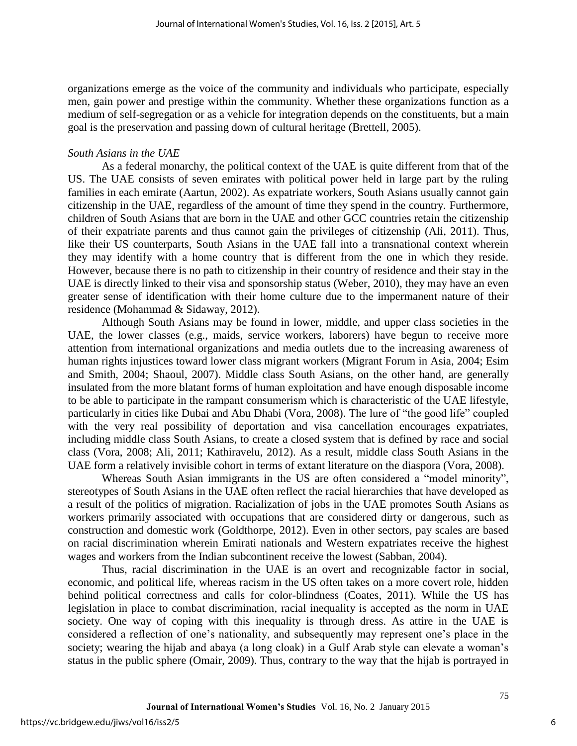organizations emerge as the voice of the community and individuals who participate, especially men, gain power and prestige within the community. Whether these organizations function as a medium of self-segregation or as a vehicle for integration depends on the constituents, but a main goal is the preservation and passing down of cultural heritage (Brettell, 2005).

## *South Asians in the UAE*

As a federal monarchy, the political context of the UAE is quite different from that of the US. The UAE consists of seven emirates with political power held in large part by the ruling families in each emirate (Aartun, 2002). As expatriate workers, South Asians usually cannot gain citizenship in the UAE, regardless of the amount of time they spend in the country. Furthermore, children of South Asians that are born in the UAE and other GCC countries retain the citizenship of their expatriate parents and thus cannot gain the privileges of citizenship (Ali, 2011). Thus, like their US counterparts, South Asians in the UAE fall into a transnational context wherein they may identify with a home country that is different from the one in which they reside. However, because there is no path to citizenship in their country of residence and their stay in the UAE is directly linked to their visa and sponsorship status (Weber, 2010), they may have an even greater sense of identification with their home culture due to the impermanent nature of their residence (Mohammad & Sidaway, 2012).

Although South Asians may be found in lower, middle, and upper class societies in the UAE, the lower classes (e.g., maids, service workers, laborers) have begun to receive more attention from international organizations and media outlets due to the increasing awareness of human rights injustices toward lower class migrant workers (Migrant Forum in Asia, 2004; Esim and Smith, 2004; Shaoul, 2007). Middle class South Asians, on the other hand, are generally insulated from the more blatant forms of human exploitation and have enough disposable income to be able to participate in the rampant consumerism which is characteristic of the UAE lifestyle, particularly in cities like Dubai and Abu Dhabi (Vora, 2008). The lure of "the good life" coupled with the very real possibility of deportation and visa cancellation encourages expatriates, including middle class South Asians, to create a closed system that is defined by race and social class (Vora, 2008; Ali, 2011; Kathiravelu, 2012). As a result, middle class South Asians in the UAE form a relatively invisible cohort in terms of extant literature on the diaspora (Vora, 2008).

Whereas South Asian immigrants in the US are often considered a "model minority", stereotypes of South Asians in the UAE often reflect the racial hierarchies that have developed as a result of the politics of migration. Racialization of jobs in the UAE promotes South Asians as workers primarily associated with occupations that are considered dirty or dangerous, such as construction and domestic work (Goldthorpe, 2012). Even in other sectors, pay scales are based on racial discrimination wherein Emirati nationals and Western expatriates receive the highest wages and workers from the Indian subcontinent receive the lowest (Sabban, 2004).

Thus, racial discrimination in the UAE is an overt and recognizable factor in social, economic, and political life, whereas racism in the US often takes on a more covert role, hidden behind political correctness and calls for color-blindness (Coates, 2011). While the US has legislation in place to combat discrimination, racial inequality is accepted as the norm in UAE society. One way of coping with this inequality is through dress. As attire in the UAE is considered a reflection of one's nationality, and subsequently may represent one's place in the society; wearing the hijab and abaya (a long cloak) in a Gulf Arab style can elevate a woman's status in the public sphere (Omair, 2009). Thus, contrary to the way that the hijab is portrayed in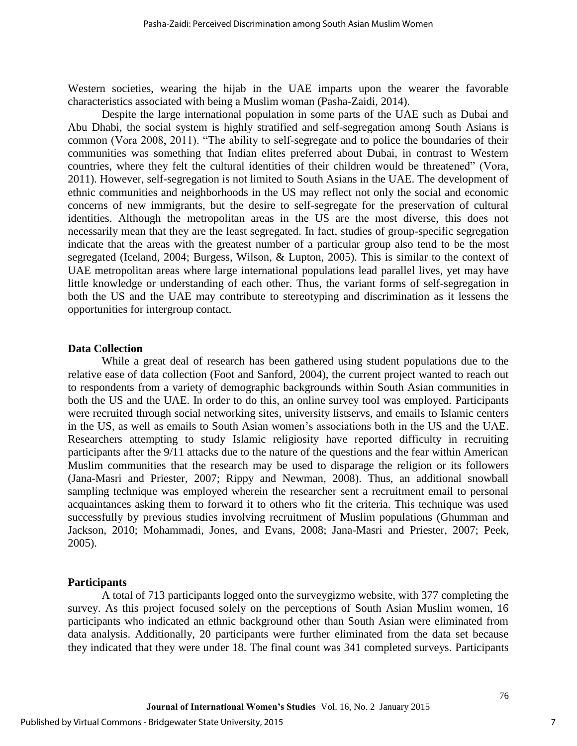Western societies, wearing the hijab in the UAE imparts upon the wearer the favorable characteristics associated with being a Muslim woman (Pasha-Zaidi, 2014).

Despite the large international population in some parts of the UAE such as Dubai and Abu Dhabi, the social system is highly stratified and self-segregation among South Asians is common (Vora 2008, 2011). "The ability to self-segregate and to police the boundaries of their communities was something that Indian elites preferred about Dubai, in contrast to Western countries, where they felt the cultural identities of their children would be threatened" (Vora, 2011). However, self-segregation is not limited to South Asians in the UAE. The development of ethnic communities and neighborhoods in the US may reflect not only the social and economic concerns of new immigrants, but the desire to self-segregate for the preservation of cultural identities. Although the metropolitan areas in the US are the most diverse, this does not necessarily mean that they are the least segregated. In fact, studies of group-specific segregation indicate that the areas with the greatest number of a particular group also tend to be the most segregated (Iceland, 2004; Burgess, Wilson, & Lupton, 2005). This is similar to the context of UAE metropolitan areas where large international populations lead parallel lives, yet may have little knowledge or understanding of each other. Thus, the variant forms of self-segregation in both the US and the UAE may contribute to stereotyping and discrimination as it lessens the opportunities for intergroup contact.

#### **Data Collection**

While a great deal of research has been gathered using student populations due to the relative ease of data collection (Foot and Sanford, 2004), the current project wanted to reach out to respondents from a variety of demographic backgrounds within South Asian communities in both the US and the UAE. In order to do this, an online survey tool was employed. Participants were recruited through social networking sites, university listservs, and emails to Islamic centers in the US, as well as emails to South Asian women's associations both in the US and the UAE. Researchers attempting to study Islamic religiosity have reported difficulty in recruiting participants after the 9/11 attacks due to the nature of the questions and the fear within American Muslim communities that the research may be used to disparage the religion or its followers (Jana-Masri and Priester, 2007; Rippy and Newman, 2008). Thus, an additional snowball sampling technique was employed wherein the researcher sent a recruitment email to personal acquaintances asking them to forward it to others who fit the criteria. This technique was used successfully by previous studies involving recruitment of Muslim populations (Ghumman and Jackson, 2010; Mohammadi, Jones, and Evans, 2008; Jana-Masri and Priester, 2007; Peek, 2005).

## **Participants**

A total of 713 participants logged onto the surveygizmo website, with 377 completing the survey. As this project focused solely on the perceptions of South Asian Muslim women, 16 participants who indicated an ethnic background other than South Asian were eliminated from data analysis. Additionally, 20 participants were further eliminated from the data set because they indicated that they were under 18. The final count was 341 completed surveys. Participants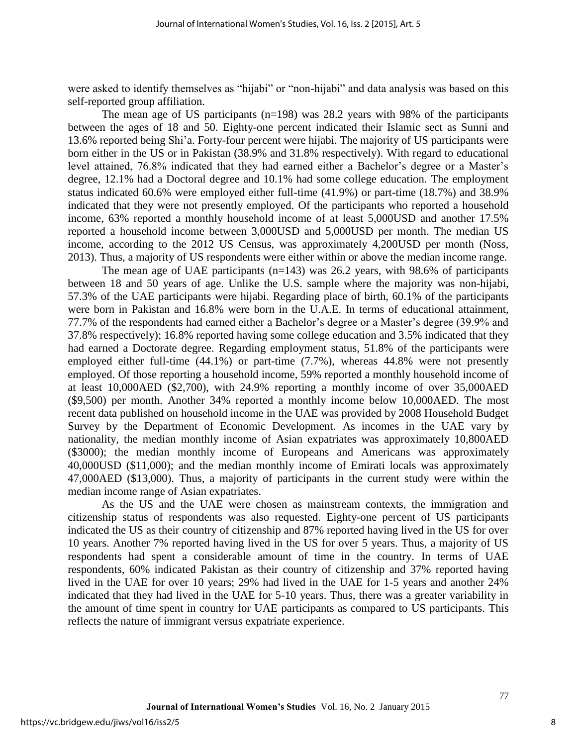were asked to identify themselves as "hijabi" or "non-hijabi" and data analysis was based on this self-reported group affiliation.

The mean age of US participants  $(n=198)$  was 28.2 years with 98% of the participants between the ages of 18 and 50. Eighty-one percent indicated their Islamic sect as Sunni and 13.6% reported being Shi'a. Forty-four percent were hijabi. The majority of US participants were born either in the US or in Pakistan (38.9% and 31.8% respectively). With regard to educational level attained, 76.8% indicated that they had earned either a Bachelor's degree or a Master's degree, 12.1% had a Doctoral degree and 10.1% had some college education. The employment status indicated 60.6% were employed either full-time (41.9%) or part-time (18.7%) and 38.9% indicated that they were not presently employed. Of the participants who reported a household income, 63% reported a monthly household income of at least 5,000USD and another 17.5% reported a household income between 3,000USD and 5,000USD per month. The median US income, according to the 2012 US Census, was approximately 4,200USD per month (Noss, 2013). Thus, a majority of US respondents were either within or above the median income range.

The mean age of UAE participants  $(n=143)$  was 26.2 years, with 98.6% of participants between 18 and 50 years of age. Unlike the U.S. sample where the majority was non-hijabi, 57.3% of the UAE participants were hijabi. Regarding place of birth, 60.1% of the participants were born in Pakistan and 16.8% were born in the U.A.E. In terms of educational attainment, 77.7% of the respondents had earned either a Bachelor's degree or a Master's degree (39.9% and 37.8% respectively); 16.8% reported having some college education and 3.5% indicated that they had earned a Doctorate degree. Regarding employment status, 51.8% of the participants were employed either full-time (44.1%) or part-time (7.7%), whereas 44.8% were not presently employed. Of those reporting a household income, 59% reported a monthly household income of at least 10,000AED (\$2,700), with 24.9% reporting a monthly income of over 35,000AED (\$9,500) per month. Another 34% reported a monthly income below 10,000AED. The most recent data published on household income in the UAE was provided by 2008 Household Budget Survey by the Department of Economic Development. As incomes in the UAE vary by nationality, the median monthly income of Asian expatriates was approximately 10,800AED (\$3000); the median monthly income of Europeans and Americans was approximately 40,000USD (\$11,000); and the median monthly income of Emirati locals was approximately 47,000AED (\$13,000). Thus, a majority of participants in the current study were within the median income range of Asian expatriates.

As the US and the UAE were chosen as mainstream contexts, the immigration and citizenship status of respondents was also requested. Eighty-one percent of US participants indicated the US as their country of citizenship and 87% reported having lived in the US for over 10 years. Another 7% reported having lived in the US for over 5 years. Thus, a majority of US respondents had spent a considerable amount of time in the country. In terms of UAE respondents, 60% indicated Pakistan as their country of citizenship and 37% reported having lived in the UAE for over 10 years; 29% had lived in the UAE for 1-5 years and another 24% indicated that they had lived in the UAE for 5-10 years. Thus, there was a greater variability in the amount of time spent in country for UAE participants as compared to US participants. This reflects the nature of immigrant versus expatriate experience.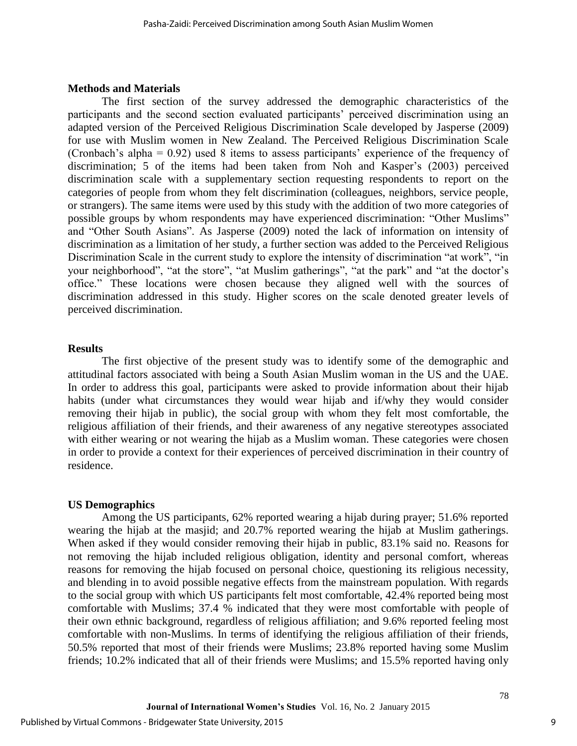#### **Methods and Materials**

The first section of the survey addressed the demographic characteristics of the participants and the second section evaluated participants' perceived discrimination using an adapted version of the Perceived Religious Discrimination Scale developed by Jasperse (2009) for use with Muslim women in New Zealand. The Perceived Religious Discrimination Scale (Cronbach's alpha = 0.92) used 8 items to assess participants' experience of the frequency of discrimination; 5 of the items had been taken from Noh and Kasper's (2003) perceived discrimination scale with a supplementary section requesting respondents to report on the categories of people from whom they felt discrimination (colleagues, neighbors, service people, or strangers). The same items were used by this study with the addition of two more categories of possible groups by whom respondents may have experienced discrimination: "Other Muslims" and "Other South Asians". As Jasperse (2009) noted the lack of information on intensity of discrimination as a limitation of her study, a further section was added to the Perceived Religious Discrimination Scale in the current study to explore the intensity of discrimination "at work", "in your neighborhood", "at the store", "at Muslim gatherings", "at the park" and "at the doctor's office." These locations were chosen because they aligned well with the sources of discrimination addressed in this study. Higher scores on the scale denoted greater levels of perceived discrimination.

#### **Results**

The first objective of the present study was to identify some of the demographic and attitudinal factors associated with being a South Asian Muslim woman in the US and the UAE. In order to address this goal, participants were asked to provide information about their hijab habits (under what circumstances they would wear hijab and if/why they would consider removing their hijab in public), the social group with whom they felt most comfortable, the religious affiliation of their friends, and their awareness of any negative stereotypes associated with either wearing or not wearing the hijab as a Muslim woman. These categories were chosen in order to provide a context for their experiences of perceived discrimination in their country of residence.

#### **US Demographics**

Among the US participants, 62% reported wearing a hijab during prayer; 51.6% reported wearing the hijab at the masjid; and 20.7% reported wearing the hijab at Muslim gatherings. When asked if they would consider removing their hijab in public, 83.1% said no. Reasons for not removing the hijab included religious obligation, identity and personal comfort, whereas reasons for removing the hijab focused on personal choice, questioning its religious necessity, and blending in to avoid possible negative effects from the mainstream population. With regards to the social group with which US participants felt most comfortable, 42.4% reported being most comfortable with Muslims; 37.4 % indicated that they were most comfortable with people of their own ethnic background, regardless of religious affiliation; and 9.6% reported feeling most comfortable with non-Muslims. In terms of identifying the religious affiliation of their friends, 50.5% reported that most of their friends were Muslims; 23.8% reported having some Muslim friends; 10.2% indicated that all of their friends were Muslims; and 15.5% reported having only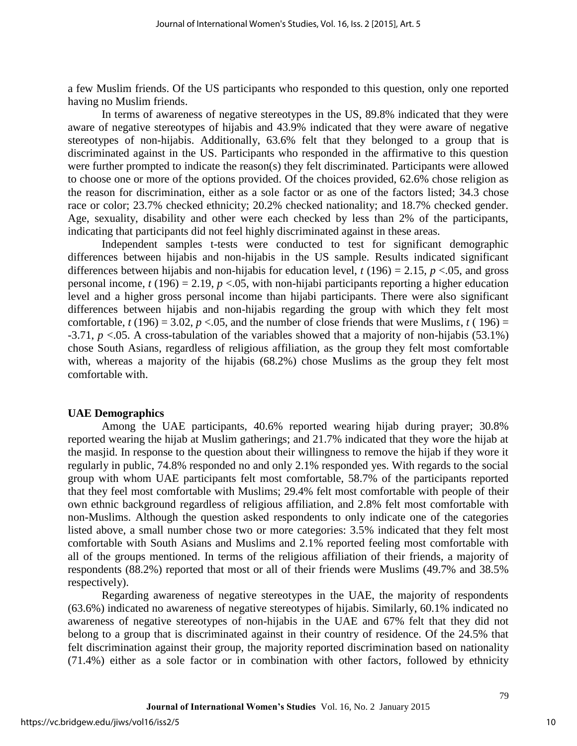a few Muslim friends. Of the US participants who responded to this question, only one reported having no Muslim friends.

In terms of awareness of negative stereotypes in the US, 89.8% indicated that they were aware of negative stereotypes of hijabis and 43.9% indicated that they were aware of negative stereotypes of non-hijabis. Additionally, 63.6% felt that they belonged to a group that is discriminated against in the US. Participants who responded in the affirmative to this question were further prompted to indicate the reason(s) they felt discriminated. Participants were allowed to choose one or more of the options provided. Of the choices provided, 62.6% chose religion as the reason for discrimination, either as a sole factor or as one of the factors listed; 34.3 chose race or color; 23.7% checked ethnicity; 20.2% checked nationality; and 18.7% checked gender. Age, sexuality, disability and other were each checked by less than 2% of the participants, indicating that participants did not feel highly discriminated against in these areas.

Independent samples t-tests were conducted to test for significant demographic differences between hijabis and non-hijabis in the US sample. Results indicated significant differences between hijabis and non-hijabis for education level,  $t(196) = 2.15$ ,  $p < 0.05$ , and gross personal income,  $t(196) = 2.19$ ,  $p < 0.05$ , with non-hijabi participants reporting a higher education level and a higher gross personal income than hijabi participants. There were also significant differences between hijabis and non-hijabis regarding the group with which they felt most comfortable,  $t(196) = 3.02$ ,  $p < 0.05$ , and the number of close friends that were Muslims,  $t(196) =$ -3.71, *p* <.05. A cross-tabulation of the variables showed that a majority of non-hijabis (53.1%) chose South Asians, regardless of religious affiliation, as the group they felt most comfortable with, whereas a majority of the hijabis (68.2%) chose Muslims as the group they felt most comfortable with.

#### **UAE Demographics**

Among the UAE participants, 40.6% reported wearing hijab during prayer; 30.8% reported wearing the hijab at Muslim gatherings; and 21.7% indicated that they wore the hijab at the masjid. In response to the question about their willingness to remove the hijab if they wore it regularly in public, 74.8% responded no and only 2.1% responded yes. With regards to the social group with whom UAE participants felt most comfortable, 58.7% of the participants reported that they feel most comfortable with Muslims; 29.4% felt most comfortable with people of their own ethnic background regardless of religious affiliation, and 2.8% felt most comfortable with non-Muslims. Although the question asked respondents to only indicate one of the categories listed above, a small number chose two or more categories: 3.5% indicated that they felt most comfortable with South Asians and Muslims and 2.1% reported feeling most comfortable with all of the groups mentioned. In terms of the religious affiliation of their friends, a majority of respondents (88.2%) reported that most or all of their friends were Muslims (49.7% and 38.5% respectively).

Regarding awareness of negative stereotypes in the UAE, the majority of respondents (63.6%) indicated no awareness of negative stereotypes of hijabis. Similarly, 60.1% indicated no awareness of negative stereotypes of non-hijabis in the UAE and 67% felt that they did not belong to a group that is discriminated against in their country of residence. Of the 24.5% that felt discrimination against their group, the majority reported discrimination based on nationality (71.4%) either as a sole factor or in combination with other factors, followed by ethnicity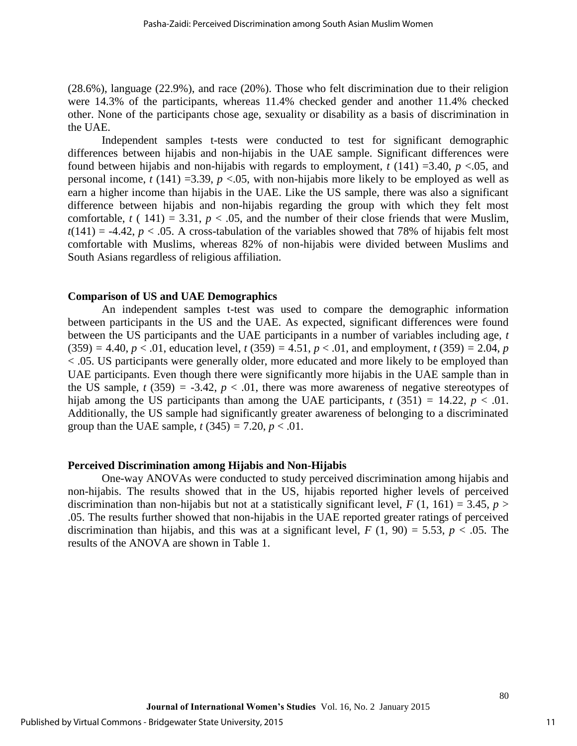(28.6%), language (22.9%), and race (20%). Those who felt discrimination due to their religion were 14.3% of the participants, whereas 11.4% checked gender and another 11.4% checked other. None of the participants chose age, sexuality or disability as a basis of discrimination in the UAE.

Independent samples t-tests were conducted to test for significant demographic differences between hijabis and non-hijabis in the UAE sample. Significant differences were found between hijabis and non-hijabis with regards to employment,  $t(141) = 3.40$ ,  $p < 0.05$ , and personal income,  $t(141) = 3.39$ ,  $p < 0.05$ , with non-hijabis more likely to be employed as well as earn a higher income than hijabis in the UAE. Like the US sample, there was also a significant difference between hijabis and non-hijabis regarding the group with which they felt most comfortable,  $t(141) = 3.31$ ,  $p < .05$ , and the number of their close friends that were Muslim,  $t(141) = -4.42$ ,  $p < .05$ . A cross-tabulation of the variables showed that 78% of hijabis felt most comfortable with Muslims, whereas 82% of non-hijabis were divided between Muslims and South Asians regardless of religious affiliation.

#### **Comparison of US and UAE Demographics**

An independent samples t-test was used to compare the demographic information between participants in the US and the UAE. As expected, significant differences were found between the US participants and the UAE participants in a number of variables including age, *t*   $(359) = 4.40, p < .01$ , education level,  $t(359) = 4.51, p < .01$ , and employment,  $t(359) = 2.04, p$ < .05. US participants were generally older, more educated and more likely to be employed than UAE participants. Even though there were significantly more hijabis in the UAE sample than in the US sample,  $t$  (359) = -3.42,  $p < .01$ , there was more awareness of negative stereotypes of hijab among the US participants than among the UAE participants,  $t$  (351) = 14.22,  $p < .01$ . Additionally, the US sample had significantly greater awareness of belonging to a discriminated group than the UAE sample,  $t(345) = 7.20, p < .01$ .

#### **Perceived Discrimination among Hijabis and Non-Hijabis**

One-way ANOVAs were conducted to study perceived discrimination among hijabis and non-hijabis. The results showed that in the US, hijabis reported higher levels of perceived discrimination than non-hijabis but not at a statistically significant level,  $F(1, 161) = 3.45$ ,  $p >$ .05. The results further showed that non-hijabis in the UAE reported greater ratings of perceived discrimination than hijabis, and this was at a significant level,  $F(1, 90) = 5.53$ ,  $p < .05$ . The results of the ANOVA are shown in Table 1.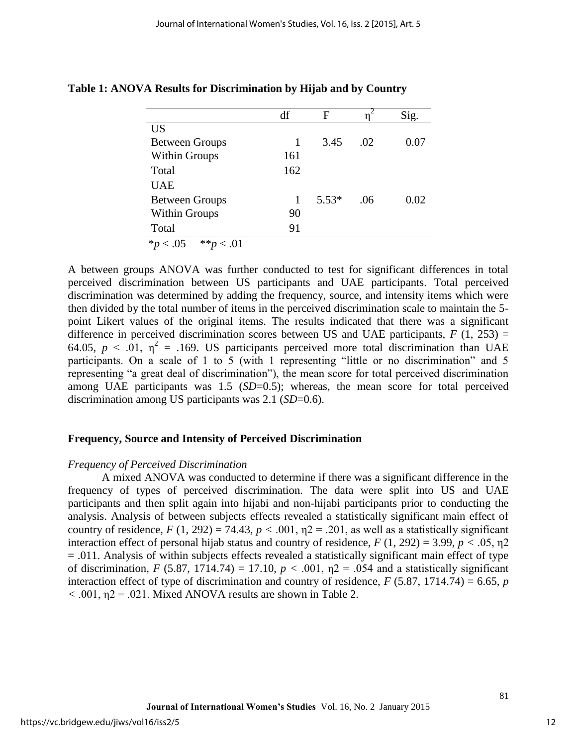|                                         | df  | F       |     | Sig. |
|-----------------------------------------|-----|---------|-----|------|
| <b>US</b>                               |     |         |     |      |
| <b>Between Groups</b>                   | 1   | 3.45    | .02 | 0.07 |
| Within Groups                           | 161 |         |     |      |
| Total                                   | 162 |         |     |      |
| <b>UAE</b>                              |     |         |     |      |
| <b>Between Groups</b>                   | 1   | $5.53*$ | .06 | 0.02 |
| Within Groups                           | 90  |         |     |      |
| Total                                   | 91  |         |     |      |
| $*p$ < .05<br>$**_D$<br>$\therefore 01$ |     |         |     |      |

**Table 1: ANOVA Results for Discrimination by Hijab and by Country**

A between groups ANOVA was further conducted to test for significant differences in total perceived discrimination between US participants and UAE participants. Total perceived discrimination was determined by adding the frequency, source, and intensity items which were then divided by the total number of items in the perceived discrimination scale to maintain the 5 point Likert values of the original items. The results indicated that there was a significant difference in perceived discrimination scores between US and UAE participants,  $F(1, 253) =$ 64.05,  $p < 0.01$ ,  $\eta^2 = 0.169$ . US participants perceived more total discrimination than UAE participants. On a scale of 1 to 5 (with 1 representing "little or no discrimination" and 5 representing "a great deal of discrimination"), the mean score for total perceived discrimination among UAE participants was 1.5 (*SD*=0.5); whereas, the mean score for total perceived discrimination among US participants was 2.1 (*SD*=0.6).

#### **Frequency, Source and Intensity of Perceived Discrimination**

#### *Frequency of Perceived Discrimination*

A mixed ANOVA was conducted to determine if there was a significant difference in the frequency of types of perceived discrimination. The data were split into US and UAE participants and then split again into hijabi and non-hijabi participants prior to conducting the analysis. Analysis of between subjects effects revealed a statistically significant main effect of country of residence,  $F(1, 292) = 74.43$ ,  $p < .001$ ,  $n2 = .201$ , as well as a statistically significant interaction effect of personal hijab status and country of residence,  $F(1, 292) = 3.99$ ,  $p < .05$ ,  $p2$  $= .011$ . Analysis of within subjects effects revealed a statistically significant main effect of type of discrimination, *F* (5.87, 1714.74) = 17.10,  $p < .001$ ,  $n = .054$  and a statistically significant interaction effect of type of discrimination and country of residence,  $F(5.87, 1714.74) = 6.65$ , *p*  $<$  0.01,  $\eta$ 2 = 0.021. Mixed ANOVA results are shown in Table 2.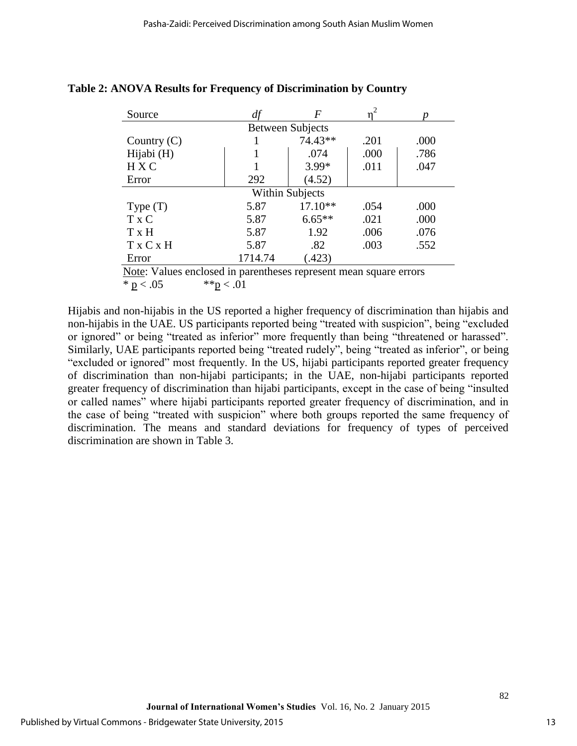| Source                 | df      | F                       |      |      |  |  |
|------------------------|---------|-------------------------|------|------|--|--|
|                        |         | <b>Between Subjects</b> |      |      |  |  |
| Country $(C)$          |         | 74.43**                 | .201 | .000 |  |  |
| Hijabi (H)             |         | .074                    | .000 | .786 |  |  |
| <b>HXC</b>             |         | 3.99*                   | .011 | .047 |  |  |
| Error                  | 292     | (4.52)                  |      |      |  |  |
| <b>Within Subjects</b> |         |                         |      |      |  |  |
| Type $(T)$             | 5.87    | 17.10**                 | .054 | .000 |  |  |
| $T \times C$           | 5.87    | $6.65**$                | .021 | .000 |  |  |
| T x H                  | 5.87    | 1.92                    | .006 | .076 |  |  |
| T x C x H              | 5.87    | .82                     | .003 | .552 |  |  |
| Error                  | 1714.74 | (423)                   |      |      |  |  |

## **Table 2: ANOVA Results for Frequency of Discrimination by Country**

Note: Values enclosed in parentheses represent mean square errors \* p < .05  $*$  \* p < .01

Hijabis and non-hijabis in the US reported a higher frequency of discrimination than hijabis and non-hijabis in the UAE. US participants reported being "treated with suspicion", being "excluded or ignored" or being "treated as inferior" more frequently than being "threatened or harassed". Similarly, UAE participants reported being "treated rudely", being "treated as inferior", or being "excluded or ignored" most frequently. In the US, hijabi participants reported greater frequency of discrimination than non-hijabi participants; in the UAE, non-hijabi participants reported greater frequency of discrimination than hijabi participants, except in the case of being "insulted or called names" where hijabi participants reported greater frequency of discrimination, and in the case of being "treated with suspicion" where both groups reported the same frequency of discrimination. The means and standard deviations for frequency of types of perceived discrimination are shown in Table 3.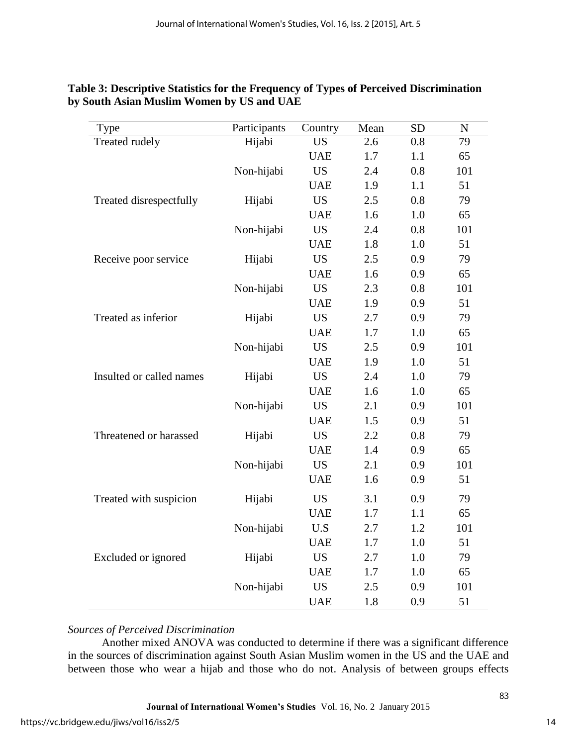| Type                     | Participants | Country    | Mean | <b>SD</b> | ${\bf N}$ |
|--------------------------|--------------|------------|------|-----------|-----------|
| <b>Treated rudely</b>    | Hijabi       | <b>US</b>  | 2.6  | 0.8       | 79        |
|                          |              | <b>UAE</b> | 1.7  | 1.1       | 65        |
|                          | Non-hijabi   | <b>US</b>  | 2.4  | 0.8       | 101       |
|                          |              | <b>UAE</b> | 1.9  | 1.1       | 51        |
| Treated disrespectfully  | Hijabi       | <b>US</b>  | 2.5  | 0.8       | 79        |
|                          |              | <b>UAE</b> | 1.6  | 1.0       | 65        |
|                          | Non-hijabi   | <b>US</b>  | 2.4  | 0.8       | 101       |
|                          |              | <b>UAE</b> | 1.8  | 1.0       | 51        |
| Receive poor service     | Hijabi       | <b>US</b>  | 2.5  | 0.9       | 79        |
|                          |              | <b>UAE</b> | 1.6  | 0.9       | 65        |
|                          | Non-hijabi   | <b>US</b>  | 2.3  | 0.8       | 101       |
|                          |              | <b>UAE</b> | 1.9  | 0.9       | 51        |
| Treated as inferior      | Hijabi       | <b>US</b>  | 2.7  | 0.9       | 79        |
|                          |              | <b>UAE</b> | 1.7  | 1.0       | 65        |
|                          | Non-hijabi   | <b>US</b>  | 2.5  | 0.9       | 101       |
|                          |              | <b>UAE</b> | 1.9  | 1.0       | 51        |
| Insulted or called names | Hijabi       | <b>US</b>  | 2.4  | 1.0       | 79        |
|                          |              | <b>UAE</b> | 1.6  | 1.0       | 65        |
|                          | Non-hijabi   | <b>US</b>  | 2.1  | 0.9       | 101       |
|                          |              | <b>UAE</b> | 1.5  | 0.9       | 51        |
| Threatened or harassed   | Hijabi       | <b>US</b>  | 2.2  | 0.8       | 79        |
|                          |              | <b>UAE</b> | 1.4  | 0.9       | 65        |
|                          | Non-hijabi   | <b>US</b>  | 2.1  | 0.9       | 101       |
|                          |              | <b>UAE</b> | 1.6  | 0.9       | 51        |
| Treated with suspicion   | Hijabi       | <b>US</b>  | 3.1  | 0.9       | 79        |
|                          |              | <b>UAE</b> | 1.7  | 1.1       | 65        |
|                          | Non-hijabi   | U.S        | 2.7  | 1.2       | 101       |
|                          |              | <b>UAE</b> | 1.7  | 1.0       | 51        |
| Excluded or ignored      | Hijabi       | <b>US</b>  | 2.7  | 1.0       | 79        |
|                          |              | <b>UAE</b> | 1.7  | 1.0       | 65        |
|                          | Non-hijabi   | <b>US</b>  | 2.5  | 0.9       | 101       |
|                          |              | <b>UAE</b> | 1.8  | 0.9       | 51        |

# **Table 3: Descriptive Statistics for the Frequency of Types of Perceived Discrimination by South Asian Muslim Women by US and UAE**

# *Sources of Perceived Discrimination*

Another mixed ANOVA was conducted to determine if there was a significant difference in the sources of discrimination against South Asian Muslim women in the US and the UAE and between those who wear a hijab and those who do not. Analysis of between groups effects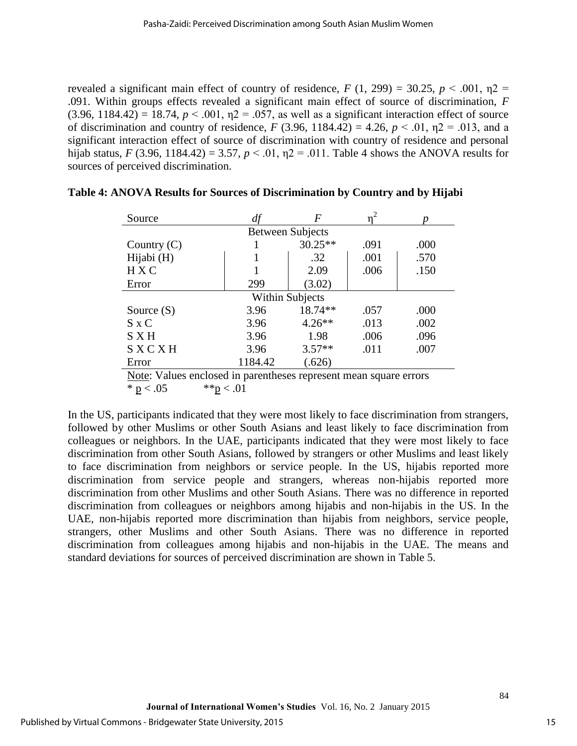revealed a significant main effect of country of residence,  $F(1, 299) = 30.25$ ,  $p < .001$ ,  $p2 =$ .091. Within groups effects revealed a significant main effect of source of discrimination, *F*   $(3.96, 1184.42) = 18.74, p < .001, \eta2 = .057$ , as well as a significant interaction effect of source of discrimination and country of residence, *F* (3.96, 1184.42) = 4.26,  $p < .01$ ,  $p = .013$ , and a significant interaction effect of source of discrimination with country of residence and personal hijab status, *F* (3.96, 1184.42) = 3.57,  $p < 0.01$ ,  $p = 0.011$ . Table 4 shows the ANOVA results for sources of perceived discrimination.

| Source                  | df      | F         |      |      |  |  |
|-------------------------|---------|-----------|------|------|--|--|
| <b>Between Subjects</b> |         |           |      |      |  |  |
| Country $(C)$           |         | $30.25**$ | .091 | .000 |  |  |
| Hijabi (H)              |         | .32       | .001 | .570 |  |  |
| <b>HXC</b>              |         | 2.09      | .006 | .150 |  |  |
| Error                   | 299     | (3.02)    |      |      |  |  |
| <b>Within Subjects</b>  |         |           |      |      |  |  |
| Source $(S)$            | 3.96    | 18.74**   | .057 | .000 |  |  |
| $S \times C$            | 3.96    | $4.26**$  | .013 | .002 |  |  |
| S X H                   | 3.96    | 1.98      | .006 | .096 |  |  |
| SXCXH                   | 3.96    | $3.57**$  | .011 | .007 |  |  |
| Error                   | 1184.42 | .626)     |      |      |  |  |

| Table 4: ANOVA Results for Sources of Discrimination by Country and by Hijabi |  |  |  |  |
|-------------------------------------------------------------------------------|--|--|--|--|
|-------------------------------------------------------------------------------|--|--|--|--|

In the US, participants indicated that they were most likely to face discrimination from strangers, followed by other Muslims or other South Asians and least likely to face discrimination from colleagues or neighbors. In the UAE, participants indicated that they were most likely to face discrimination from other South Asians, followed by strangers or other Muslims and least likely to face discrimination from neighbors or service people. In the US, hijabis reported more discrimination from service people and strangers, whereas non-hijabis reported more discrimination from other Muslims and other South Asians. There was no difference in reported discrimination from colleagues or neighbors among hijabis and non-hijabis in the US. In the UAE, non-hijabis reported more discrimination than hijabis from neighbors, service people, strangers, other Muslims and other South Asians. There was no difference in reported discrimination from colleagues among hijabis and non-hijabis in the UAE. The means and standard deviations for sources of perceived discrimination are shown in Table 5.

Note: Values enclosed in parentheses represent mean square errors \* p < .05  $*$  \* p < .01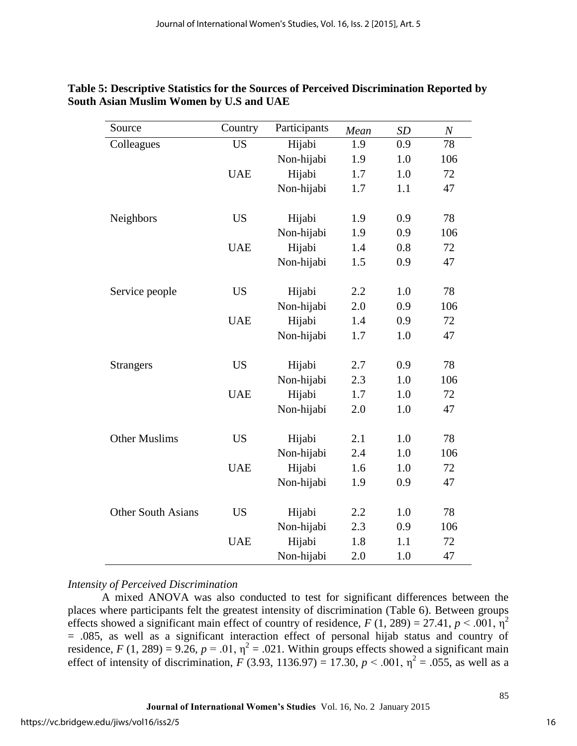| Source                    | Country    | Participants | Mean | <b>SD</b> | $\boldsymbol{N}$ |
|---------------------------|------------|--------------|------|-----------|------------------|
| Colleagues                | <b>US</b>  | Hijabi       | 1.9  | 0.9       | 78               |
|                           |            | Non-hijabi   | 1.9  | 1.0       | 106              |
|                           | <b>UAE</b> | Hijabi       | 1.7  | 1.0       | 72               |
|                           |            | Non-hijabi   | 1.7  | 1.1       | 47               |
| Neighbors                 | <b>US</b>  | Hijabi       | 1.9  | 0.9       | 78               |
|                           |            | Non-hijabi   | 1.9  | 0.9       | 106              |
|                           | <b>UAE</b> | Hijabi       | 1.4  | 0.8       | 72               |
|                           |            | Non-hijabi   | 1.5  | 0.9       | 47               |
| Service people            | <b>US</b>  | Hijabi       | 2.2  | 1.0       | 78               |
|                           |            | Non-hijabi   | 2.0  | 0.9       | 106              |
|                           | <b>UAE</b> | Hijabi       | 1.4  | 0.9       | 72               |
|                           |            | Non-hijabi   | 1.7  | 1.0       | 47               |
| <b>Strangers</b>          | <b>US</b>  | Hijabi       | 2.7  | 0.9       | 78               |
|                           |            | Non-hijabi   | 2.3  | 1.0       | 106              |
|                           | <b>UAE</b> | Hijabi       | 1.7  | 1.0       | 72               |
|                           |            | Non-hijabi   | 2.0  | 1.0       | 47               |
| <b>Other Muslims</b>      | <b>US</b>  | Hijabi       | 2.1  | 1.0       | 78               |
|                           |            | Non-hijabi   | 2.4  | 1.0       | 106              |
|                           | <b>UAE</b> | Hijabi       | 1.6  | 1.0       | 72               |
|                           |            | Non-hijabi   | 1.9  | 0.9       | 47               |
| <b>Other South Asians</b> | <b>US</b>  | Hijabi       | 2.2  | 1.0       | 78               |
|                           |            | Non-hijabi   | 2.3  | 0.9       | 106              |
|                           | <b>UAE</b> | Hijabi       | 1.8  | 1.1       | 72               |
|                           |            | Non-hijabi   | 2.0  | 1.0       | 47               |

# **Table 5: Descriptive Statistics for the Sources of Perceived Discrimination Reported by South Asian Muslim Women by U.S and UAE**

# *Intensity of Perceived Discrimination*

A mixed ANOVA was also conducted to test for significant differences between the places where participants felt the greatest intensity of discrimination (Table 6). Between groups effects showed a significant main effect of country of residence,  $F(1, 289) = 27.41$ ,  $p < .001$ ,  $p<sup>2</sup>$ = .085, as well as a significant interaction effect of personal hijab status and country of residence, *F* (1, 289) = 9.26,  $p = .01$ ,  $\eta^2 = .021$ . Within groups effects showed a significant main effect of intensity of discrimination, *F* (3.93, 1136.97) = 17.30, *p* < .001,  $\eta^2$  = .055, as well as a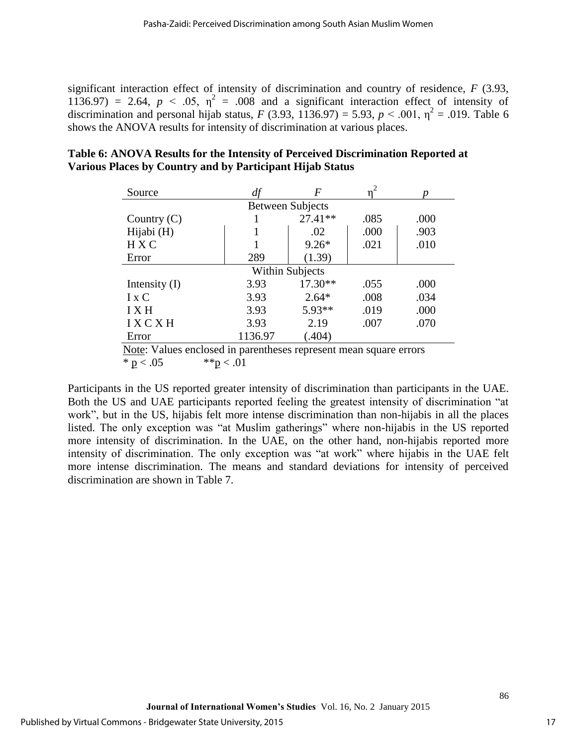significant interaction effect of intensity of discrimination and country of residence, *F* (3.93, 1136.97) = 2.64,  $p < .05$ ,  $\eta^2 = .008$  and a significant interaction effect of intensity of discrimination and personal hijab status, *F* (3.93, 1136.97) = 5.93, *p* < .001,  $\eta^2$  = .019. Table 6 shows the ANOVA results for intensity of discrimination at various places.

| Source                                                            |         | F                       |      |      |  |  |
|-------------------------------------------------------------------|---------|-------------------------|------|------|--|--|
|                                                                   |         | <b>Between Subjects</b> |      |      |  |  |
| Country $(C)$                                                     |         | 27.41**                 | .085 | .000 |  |  |
| Hijabi (H)                                                        |         | .02                     | .000 | .903 |  |  |
| <b>HXC</b>                                                        |         | $9.26*$                 | .021 | .010 |  |  |
| Error                                                             | 289     | (1.39)                  |      |      |  |  |
| <b>Within Subjects</b>                                            |         |                         |      |      |  |  |
| Intensity $(I)$                                                   | 3.93    | $17.30**$               | .055 | .000 |  |  |
| $I \times C$                                                      | 3.93    | $2.64*$                 | .008 | .034 |  |  |
| <b>IXH</b>                                                        | 3.93    | 5.93**                  | .019 | .000 |  |  |
| <b>IXCXH</b>                                                      | 3.93    | 2.19                    | .007 | .070 |  |  |
| Error                                                             | 1136.97 | (.404)                  |      |      |  |  |
| Note: Values enclosed in parentheses represent mean square errors |         |                         |      |      |  |  |

# **Table 6: ANOVA Results for the Intensity of Perceived Discrimination Reported at Various Places by Country and by Participant Hijab Status**

\*  $p < .05$  \*\* $p < .01$ 

Participants in the US reported greater intensity of discrimination than participants in the UAE. Both the US and UAE participants reported feeling the greatest intensity of discrimination "at work", but in the US, hijabis felt more intense discrimination than non-hijabis in all the places listed. The only exception was "at Muslim gatherings" where non-hijabis in the US reported more intensity of discrimination. In the UAE, on the other hand, non-hijabis reported more intensity of discrimination. The only exception was "at work" where hijabis in the UAE felt more intense discrimination. The means and standard deviations for intensity of perceived discrimination are shown in Table 7.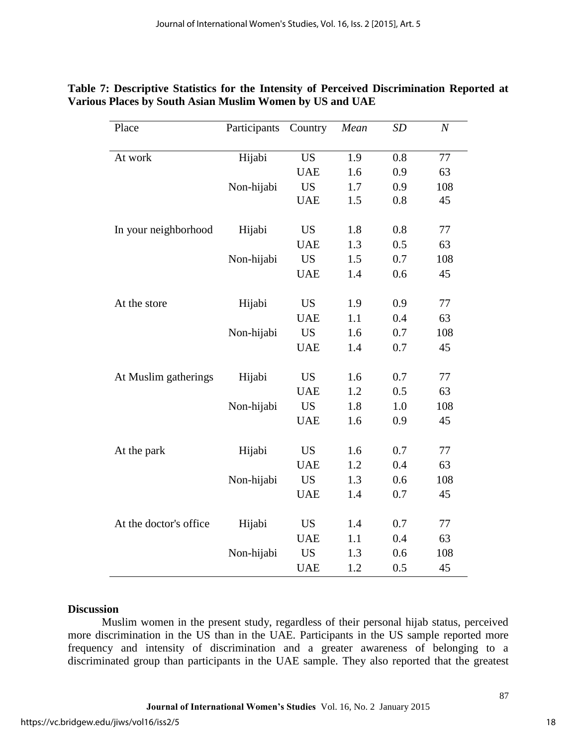| Place                  | Participants | Country    | Mean | SD  | $\boldsymbol{N}$ |
|------------------------|--------------|------------|------|-----|------------------|
| At work                | Hijabi       | <b>US</b>  | 1.9  | 0.8 | 77               |
|                        |              | <b>UAE</b> | 1.6  | 0.9 | 63               |
|                        | Non-hijabi   | <b>US</b>  | 1.7  | 0.9 | 108              |
|                        |              | <b>UAE</b> | 1.5  | 0.8 | 45               |
| In your neighborhood   | Hijabi       | <b>US</b>  | 1.8  | 0.8 | 77               |
|                        |              | <b>UAE</b> | 1.3  | 0.5 | 63               |
|                        | Non-hijabi   | <b>US</b>  | 1.5  | 0.7 | 108              |
|                        |              | <b>UAE</b> | 1.4  | 0.6 | 45               |
| At the store           | Hijabi       | <b>US</b>  | 1.9  | 0.9 | 77               |
|                        |              | <b>UAE</b> | 1.1  | 0.4 | 63               |
|                        | Non-hijabi   | <b>US</b>  | 1.6  | 0.7 | 108              |
|                        |              | <b>UAE</b> | 1.4  | 0.7 | 45               |
| At Muslim gatherings   | Hijabi       | <b>US</b>  | 1.6  | 0.7 | 77               |
|                        |              | <b>UAE</b> | 1.2  | 0.5 | 63               |
|                        | Non-hijabi   | <b>US</b>  | 1.8  | 1.0 | 108              |
|                        |              | <b>UAE</b> | 1.6  | 0.9 | 45               |
| At the park            | Hijabi       | <b>US</b>  | 1.6  | 0.7 | 77               |
|                        |              | <b>UAE</b> | 1.2  | 0.4 | 63               |
|                        | Non-hijabi   | <b>US</b>  | 1.3  | 0.6 | 108              |
|                        |              | <b>UAE</b> | 1.4  | 0.7 | 45               |
| At the doctor's office | Hijabi       | <b>US</b>  | 1.4  | 0.7 | $77 \,$          |
|                        |              | <b>UAE</b> | 1.1  | 0.4 | 63               |
|                        | Non-hijabi   | <b>US</b>  | 1.3  | 0.6 | 108              |
|                        |              | <b>UAE</b> | 1.2  | 0.5 | 45               |

# **Table 7: Descriptive Statistics for the Intensity of Perceived Discrimination Reported at Various Places by South Asian Muslim Women by US and UAE**

#### **Discussion**

Muslim women in the present study, regardless of their personal hijab status, perceived more discrimination in the US than in the UAE. Participants in the US sample reported more frequency and intensity of discrimination and a greater awareness of belonging to a discriminated group than participants in the UAE sample. They also reported that the greatest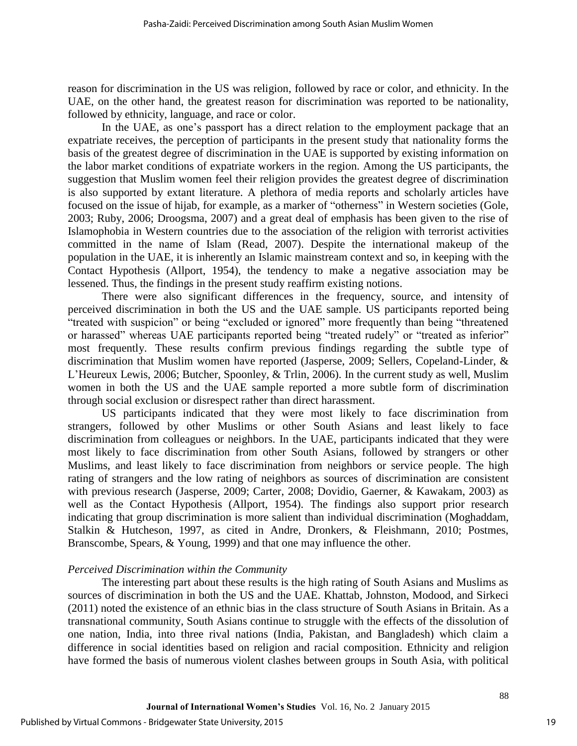reason for discrimination in the US was religion, followed by race or color, and ethnicity. In the UAE, on the other hand, the greatest reason for discrimination was reported to be nationality, followed by ethnicity, language, and race or color.

In the UAE, as one's passport has a direct relation to the employment package that an expatriate receives, the perception of participants in the present study that nationality forms the basis of the greatest degree of discrimination in the UAE is supported by existing information on the labor market conditions of expatriate workers in the region. Among the US participants, the suggestion that Muslim women feel their religion provides the greatest degree of discrimination is also supported by extant literature. A plethora of media reports and scholarly articles have focused on the issue of hijab, for example, as a marker of "otherness" in Western societies (Gole, 2003; Ruby, 2006; Droogsma, 2007) and a great deal of emphasis has been given to the rise of Islamophobia in Western countries due to the association of the religion with terrorist activities committed in the name of Islam (Read, 2007). Despite the international makeup of the population in the UAE, it is inherently an Islamic mainstream context and so, in keeping with the Contact Hypothesis (Allport, 1954), the tendency to make a negative association may be lessened. Thus, the findings in the present study reaffirm existing notions.

There were also significant differences in the frequency, source, and intensity of perceived discrimination in both the US and the UAE sample. US participants reported being "treated with suspicion" or being "excluded or ignored" more frequently than being "threatened or harassed" whereas UAE participants reported being "treated rudely" or "treated as inferior" most frequently. These results confirm previous findings regarding the subtle type of discrimination that Muslim women have reported (Jasperse, 2009; Sellers, Copeland-Linder, & L'Heureux Lewis, 2006; Butcher, Spoonley, & Trlin, 2006). In the current study as well, Muslim women in both the US and the UAE sample reported a more subtle form of discrimination through social exclusion or disrespect rather than direct harassment.

US participants indicated that they were most likely to face discrimination from strangers, followed by other Muslims or other South Asians and least likely to face discrimination from colleagues or neighbors. In the UAE, participants indicated that they were most likely to face discrimination from other South Asians, followed by strangers or other Muslims, and least likely to face discrimination from neighbors or service people. The high rating of strangers and the low rating of neighbors as sources of discrimination are consistent with previous research (Jasperse, 2009; Carter, 2008; Dovidio, Gaerner, & Kawakam, 2003) as well as the Contact Hypothesis (Allport, 1954). The findings also support prior research indicating that group discrimination is more salient than individual discrimination (Moghaddam, Stalkin & Hutcheson, 1997, as cited in Andre, Dronkers, & Fleishmann, 2010; Postmes, Branscombe, Spears, & Young, 1999) and that one may influence the other.

## *Perceived Discrimination within the Community*

The interesting part about these results is the high rating of South Asians and Muslims as sources of discrimination in both the US and the UAE. Khattab, Johnston, Modood, and Sirkeci (2011) noted the existence of an ethnic bias in the class structure of South Asians in Britain. As a transnational community, South Asians continue to struggle with the effects of the dissolution of one nation, India, into three rival nations (India, Pakistan, and Bangladesh) which claim a difference in social identities based on religion and racial composition. Ethnicity and religion have formed the basis of numerous violent clashes between groups in South Asia, with political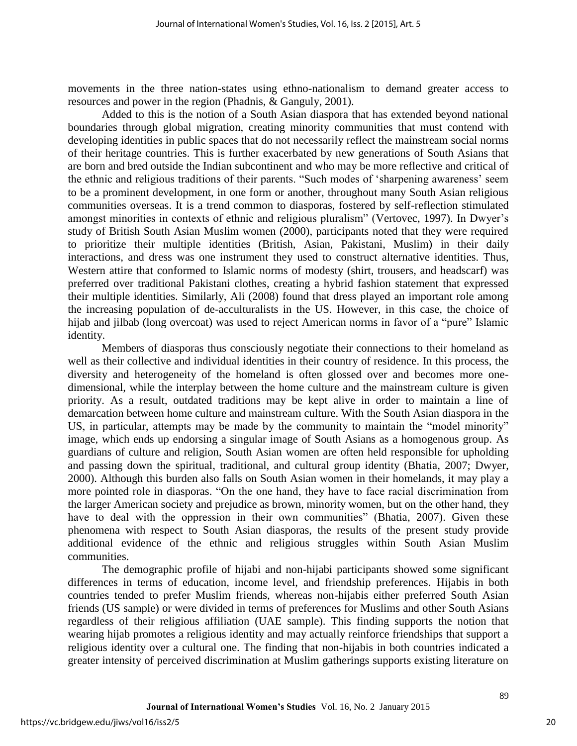movements in the three nation-states using ethno-nationalism to demand greater access to resources and power in the region (Phadnis, & Ganguly, 2001).

Added to this is the notion of a South Asian diaspora that has extended beyond national boundaries through global migration, creating minority communities that must contend with developing identities in public spaces that do not necessarily reflect the mainstream social norms of their heritage countries. This is further exacerbated by new generations of South Asians that are born and bred outside the Indian subcontinent and who may be more reflective and critical of the ethnic and religious traditions of their parents. "Such modes of 'sharpening awareness' seem to be a prominent development, in one form or another, throughout many South Asian religious communities overseas. It is a trend common to diasporas, fostered by self-reflection stimulated amongst minorities in contexts of ethnic and religious pluralism" (Vertovec, 1997). In Dwyer's study of British South Asian Muslim women (2000), participants noted that they were required to prioritize their multiple identities (British, Asian, Pakistani, Muslim) in their daily interactions, and dress was one instrument they used to construct alternative identities. Thus, Western attire that conformed to Islamic norms of modesty (shirt, trousers, and headscarf) was preferred over traditional Pakistani clothes, creating a hybrid fashion statement that expressed their multiple identities. Similarly, Ali (2008) found that dress played an important role among the increasing population of de-acculturalists in the US. However, in this case, the choice of hijab and jilbab (long overcoat) was used to reject American norms in favor of a "pure" Islamic identity.

Members of diasporas thus consciously negotiate their connections to their homeland as well as their collective and individual identities in their country of residence. In this process, the diversity and heterogeneity of the homeland is often glossed over and becomes more onedimensional, while the interplay between the home culture and the mainstream culture is given priority. As a result, outdated traditions may be kept alive in order to maintain a line of demarcation between home culture and mainstream culture. With the South Asian diaspora in the US, in particular, attempts may be made by the community to maintain the "model minority" image, which ends up endorsing a singular image of South Asians as a homogenous group. As guardians of culture and religion, South Asian women are often held responsible for upholding and passing down the spiritual, traditional, and cultural group identity (Bhatia, 2007; Dwyer, 2000). Although this burden also falls on South Asian women in their homelands, it may play a more pointed role in diasporas. "On the one hand, they have to face racial discrimination from the larger American society and prejudice as brown, minority women, but on the other hand, they have to deal with the oppression in their own communities" (Bhatia, 2007). Given these phenomena with respect to South Asian diasporas, the results of the present study provide additional evidence of the ethnic and religious struggles within South Asian Muslim communities.

The demographic profile of hijabi and non-hijabi participants showed some significant differences in terms of education, income level, and friendship preferences. Hijabis in both countries tended to prefer Muslim friends, whereas non-hijabis either preferred South Asian friends (US sample) or were divided in terms of preferences for Muslims and other South Asians regardless of their religious affiliation (UAE sample). This finding supports the notion that wearing hijab promotes a religious identity and may actually reinforce friendships that support a religious identity over a cultural one. The finding that non-hijabis in both countries indicated a greater intensity of perceived discrimination at Muslim gatherings supports existing literature on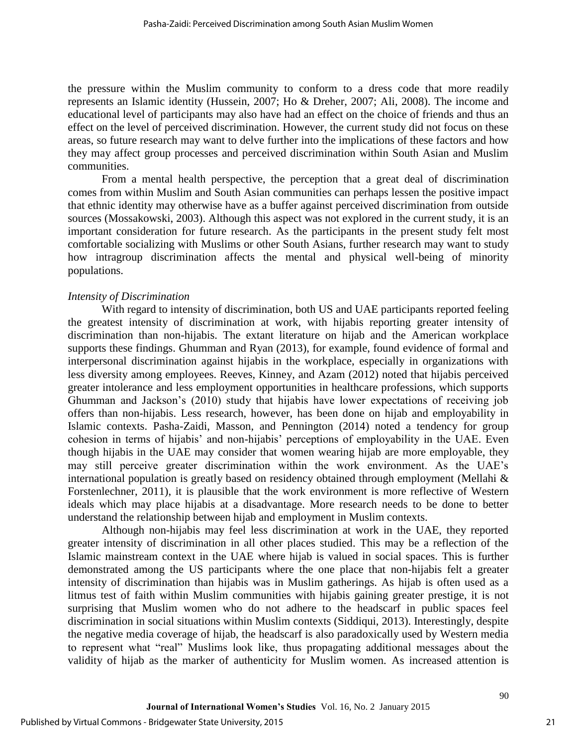the pressure within the Muslim community to conform to a dress code that more readily represents an Islamic identity (Hussein, 2007; Ho & Dreher, 2007; Ali, 2008). The income and educational level of participants may also have had an effect on the choice of friends and thus an effect on the level of perceived discrimination. However, the current study did not focus on these areas, so future research may want to delve further into the implications of these factors and how they may affect group processes and perceived discrimination within South Asian and Muslim communities.

From a mental health perspective, the perception that a great deal of discrimination comes from within Muslim and South Asian communities can perhaps lessen the positive impact that ethnic identity may otherwise have as a buffer against perceived discrimination from outside sources (Mossakowski, 2003). Although this aspect was not explored in the current study, it is an important consideration for future research. As the participants in the present study felt most comfortable socializing with Muslims or other South Asians, further research may want to study how intragroup discrimination affects the mental and physical well-being of minority populations.

#### *Intensity of Discrimination*

With regard to intensity of discrimination, both US and UAE participants reported feeling the greatest intensity of discrimination at work, with hijabis reporting greater intensity of discrimination than non-hijabis. The extant literature on hijab and the American workplace supports these findings. Ghumman and Ryan (2013), for example, found evidence of formal and interpersonal discrimination against hijabis in the workplace, especially in organizations with less diversity among employees. Reeves, Kinney, and Azam (2012) noted that hijabis perceived greater intolerance and less employment opportunities in healthcare professions, which supports Ghumman and Jackson's (2010) study that hijabis have lower expectations of receiving job offers than non-hijabis. Less research, however, has been done on hijab and employability in Islamic contexts. Pasha-Zaidi, Masson, and Pennington (2014) noted a tendency for group cohesion in terms of hijabis' and non-hijabis' perceptions of employability in the UAE. Even though hijabis in the UAE may consider that women wearing hijab are more employable, they may still perceive greater discrimination within the work environment. As the UAE's international population is greatly based on residency obtained through employment (Mellahi & Forstenlechner, 2011), it is plausible that the work environment is more reflective of Western ideals which may place hijabis at a disadvantage. More research needs to be done to better understand the relationship between hijab and employment in Muslim contexts.

Although non-hijabis may feel less discrimination at work in the UAE, they reported greater intensity of discrimination in all other places studied. This may be a reflection of the Islamic mainstream context in the UAE where hijab is valued in social spaces. This is further demonstrated among the US participants where the one place that non-hijabis felt a greater intensity of discrimination than hijabis was in Muslim gatherings. As hijab is often used as a litmus test of faith within Muslim communities with hijabis gaining greater prestige, it is not surprising that Muslim women who do not adhere to the headscarf in public spaces feel discrimination in social situations within Muslim contexts (Siddiqui, 2013). Interestingly, despite the negative media coverage of hijab, the headscarf is also paradoxically used by Western media to represent what "real" Muslims look like, thus propagating additional messages about the validity of hijab as the marker of authenticity for Muslim women. As increased attention is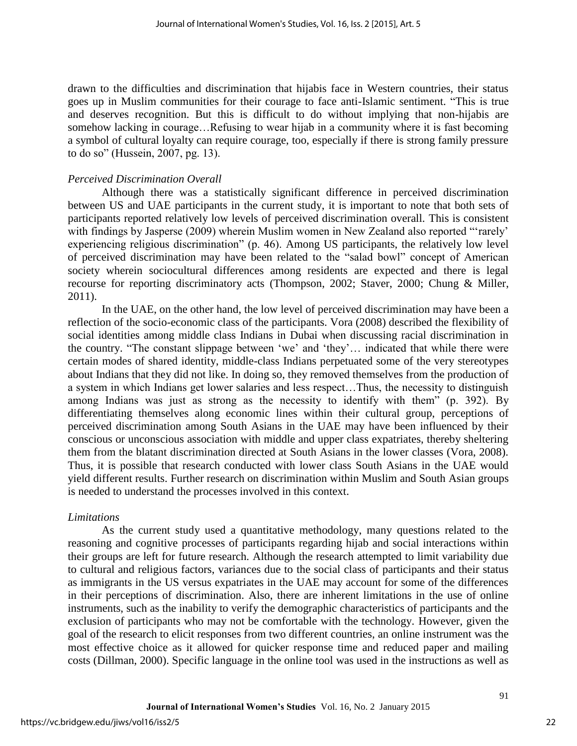drawn to the difficulties and discrimination that hijabis face in Western countries, their status goes up in Muslim communities for their courage to face anti-Islamic sentiment. "This is true and deserves recognition. But this is difficult to do without implying that non-hijabis are somehow lacking in courage…Refusing to wear hijab in a community where it is fast becoming a symbol of cultural loyalty can require courage, too, especially if there is strong family pressure to do so" (Hussein, 2007, pg. 13).

#### *Perceived Discrimination Overall*

Although there was a statistically significant difference in perceived discrimination between US and UAE participants in the current study, it is important to note that both sets of participants reported relatively low levels of perceived discrimination overall. This is consistent with findings by Jasperse (2009) wherein Muslim women in New Zealand also reported "'rarely' experiencing religious discrimination" (p. 46). Among US participants, the relatively low level of perceived discrimination may have been related to the "salad bowl" concept of American society wherein sociocultural differences among residents are expected and there is legal recourse for reporting discriminatory acts (Thompson, 2002; Staver, 2000; Chung & Miller, 2011).

In the UAE, on the other hand, the low level of perceived discrimination may have been a reflection of the socio-economic class of the participants. Vora (2008) described the flexibility of social identities among middle class Indians in Dubai when discussing racial discrimination in the country. "The constant slippage between 'we' and 'they'… indicated that while there were certain modes of shared identity, middle-class Indians perpetuated some of the very stereotypes about Indians that they did not like. In doing so, they removed themselves from the production of a system in which Indians get lower salaries and less respect…Thus, the necessity to distinguish among Indians was just as strong as the necessity to identify with them" (p. 392). By differentiating themselves along economic lines within their cultural group, perceptions of perceived discrimination among South Asians in the UAE may have been influenced by their conscious or unconscious association with middle and upper class expatriates, thereby sheltering them from the blatant discrimination directed at South Asians in the lower classes (Vora, 2008). Thus, it is possible that research conducted with lower class South Asians in the UAE would yield different results. Further research on discrimination within Muslim and South Asian groups is needed to understand the processes involved in this context.

#### *Limitations*

As the current study used a quantitative methodology, many questions related to the reasoning and cognitive processes of participants regarding hijab and social interactions within their groups are left for future research. Although the research attempted to limit variability due to cultural and religious factors, variances due to the social class of participants and their status as immigrants in the US versus expatriates in the UAE may account for some of the differences in their perceptions of discrimination. Also, there are inherent limitations in the use of online instruments, such as the inability to verify the demographic characteristics of participants and the exclusion of participants who may not be comfortable with the technology. However, given the goal of the research to elicit responses from two different countries, an online instrument was the most effective choice as it allowed for quicker response time and reduced paper and mailing costs (Dillman, 2000). Specific language in the online tool was used in the instructions as well as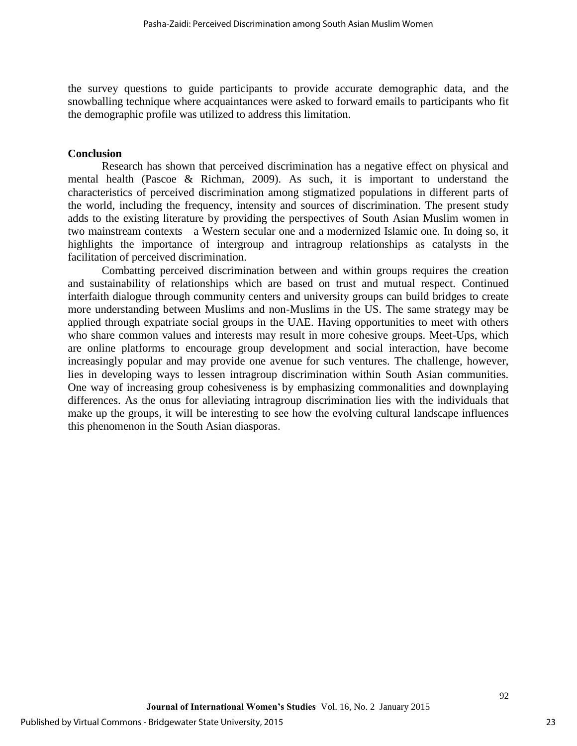the survey questions to guide participants to provide accurate demographic data, and the snowballing technique where acquaintances were asked to forward emails to participants who fit the demographic profile was utilized to address this limitation.

## **Conclusion**

Research has shown that perceived discrimination has a negative effect on physical and mental health (Pascoe & Richman, 2009). As such, it is important to understand the characteristics of perceived discrimination among stigmatized populations in different parts of the world, including the frequency, intensity and sources of discrimination. The present study adds to the existing literature by providing the perspectives of South Asian Muslim women in two mainstream contexts—a Western secular one and a modernized Islamic one. In doing so, it highlights the importance of intergroup and intragroup relationships as catalysts in the facilitation of perceived discrimination.

Combatting perceived discrimination between and within groups requires the creation and sustainability of relationships which are based on trust and mutual respect. Continued interfaith dialogue through community centers and university groups can build bridges to create more understanding between Muslims and non-Muslims in the US. The same strategy may be applied through expatriate social groups in the UAE. Having opportunities to meet with others who share common values and interests may result in more cohesive groups. Meet-Ups, which are online platforms to encourage group development and social interaction, have become increasingly popular and may provide one avenue for such ventures. The challenge, however, lies in developing ways to lessen intragroup discrimination within South Asian communities. One way of increasing group cohesiveness is by emphasizing commonalities and downplaying differences. As the onus for alleviating intragroup discrimination lies with the individuals that make up the groups, it will be interesting to see how the evolving cultural landscape influences this phenomenon in the South Asian diasporas.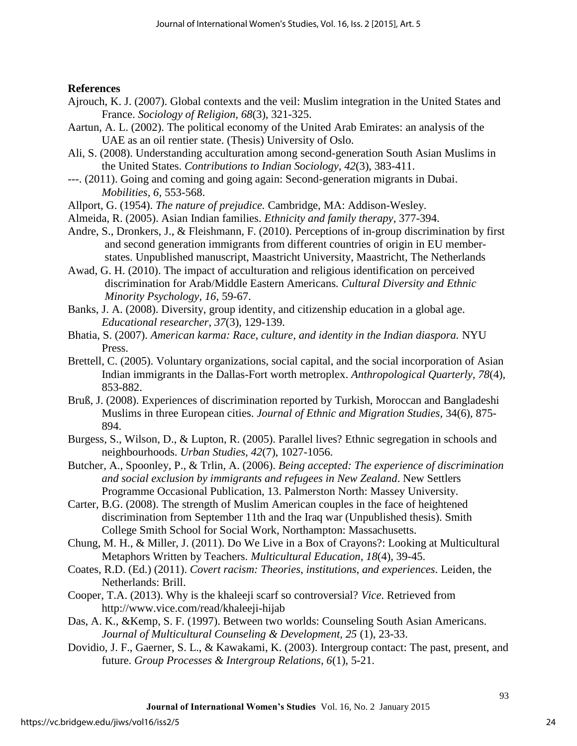## **References**

- Ajrouch, K. J. (2007). Global contexts and the veil: Muslim integration in the United States and France. *Sociology of Religion, 68*(3), 321-325.
- Aartun, A. L. (2002). The political economy of the United Arab Emirates: an analysis of the UAE as an oil rentier state. (Thesis) University of Oslo.
- Ali, S. (2008). Understanding acculturation among second-generation South Asian Muslims in the United States. *Contributions to Indian Sociology, 42*(3), 383-411.
- ---. (2011). Going and coming and going again: Second-generation migrants in Dubai. *Mobilities, 6,* 553-568.
- Allport, G. (1954). *The nature of prejudice.* Cambridge, MA: Addison-Wesley.
- Almeida, R. (2005). Asian Indian families. *Ethnicity and family therapy*, 377-394.
- Andre, S., Dronkers, J., & Fleishmann, F. (2010). Perceptions of in-group discrimination by first and second generation immigrants from different countries of origin in EU memberstates. Unpublished manuscript, Maastricht University, [Maastricht,](http://en.wikipedia.org/wiki/Maastricht) The Netherlands
- Awad, G. H. (2010). The impact of acculturation and religious identification on perceived discrimination for Arab/Middle Eastern Americans*. Cultural Diversity and Ethnic Minority Psychology, 16,* 59-67.
- Banks, J. A. (2008). Diversity, group identity, and citizenship education in a global age. *Educational researcher, 37*(3), 129-139.
- Bhatia, S. (2007). *American karma: Race, culture, and identity in the Indian diaspora.* NYU Press.
- Brettell, C. (2005). Voluntary organizations, social capital, and the social incorporation of Asian Indian immigrants in the Dallas-Fort worth metroplex. *Anthropological Quarterly, 78*(4), 853-882.
- Bruß, J. (2008). Experiences of discrimination reported by Turkish, Moroccan and Bangladeshi Muslims in three European cities. *Journal of Ethnic and Migration Studies,* 34(6), 875- 894.
- Burgess, S., Wilson, D., & Lupton, R. (2005). Parallel lives? Ethnic segregation in schools and neighbourhoods. *Urban Studies, 42*(7), 1027-1056.
- Butcher, A., Spoonley, P., & Trlin, A. (2006). *Being accepted: The experience of discrimination and social exclusion by immigrants and refugees in New Zealand*. New Settlers Programme Occasional Publication, 13. Palmerston North: Massey University.
- Carter, B.G. (2008). The strength of Muslim American couples in the face of heightened discrimination from September 11th and the Iraq war (Unpublished thesis). Smith College Smith School for Social Work, Northampton: Massachusetts.
- Chung, M. H., & Miller, J. (2011). Do We Live in a Box of Crayons?: Looking at Multicultural Metaphors Written by Teachers. *Multicultural Education, 18*(4), 39-45.
- Coates, R.D. (Ed.) (2011). *Covert racism: Theories, institutions, and experiences*. Leiden, the Netherlands: Brill.
- Cooper, T.A. (2013). Why is the khaleeji scarf so controversial? *Vice*. Retrieved from <http://www.vice.com/read/khaleeji-hijab>
- Das, A. K., &Kemp, S. F. (1997). Between two worlds: Counseling South Asian Americans. *Journal of Multicultural Counseling & Development, 25* (1), 23-33.
- Dovidio, J. F., Gaerner, S. L., & Kawakami, K. (2003). Intergroup contact: The past, present, and future. *Group Processes & Intergroup Relations, 6*(1), 5-21.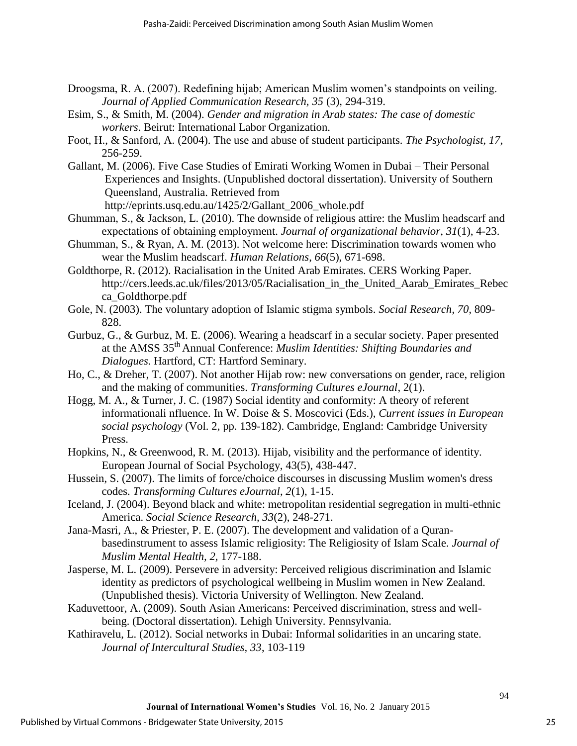- Droogsma, R. A. (2007). Redefining hijab; American Muslim women's standpoints on veiling. *Journal of Applied Communication Research, 35* (3), 294-319.
- Esim, S., & Smith, M. (2004). *Gender and migration in Arab states: The case of domestic workers*. Beirut: International Labor Organization.
- Foot, H., & Sanford, A. (2004). The use and abuse of student participants. *The Psychologist, 17*, 256-259.
- Gallant, M. (2006). Five Case Studies of Emirati Working Women in Dubai Their Personal Experiences and Insights. (Unpublished doctoral dissertation). University of Southern Queensland, Australia. Retrieved from

http://eprints.usq.edu.au/1425/2/Gallant\_2006\_whole.pdf

- Ghumman, S., & Jackson, L. (2010). The downside of religious attire: the Muslim headscarf and expectations of obtaining employment. *Journal of organizational behavior*, *31*(1), 4-23.
- Ghumman, S., & Ryan, A. M. (2013). Not welcome here: Discrimination towards women who wear the Muslim headscarf. *Human Relations*, *66*(5), 671-698.
- Goldthorpe, R. (2012). Racialisation in the United Arab Emirates. CERS Working Paper. [http://cers.leeds.ac.uk/files/2013/05/Racialisation\\_in\\_the\\_United\\_Aarab\\_Emirates\\_Rebec](http://cers.leeds.ac.uk/files/2013/05/Racialisation_in_the_United_Aarab_Emirates_Rebecca_Goldthorpe.pdf) [ca\\_Goldthorpe.pdf](http://cers.leeds.ac.uk/files/2013/05/Racialisation_in_the_United_Aarab_Emirates_Rebecca_Goldthorpe.pdf)
- Gole, N. (2003). The voluntary adoption of Islamic stigma symbols. *Social Research, 70,* 809- 828.
- Gurbuz, G., & Gurbuz, M. E. (2006). Wearing a headscarf in a secular society. Paper presented at the AMSS 35th Annual Conference: *Muslim Identities: Shifting Boundaries and Dialogues.* Hartford, CT: Hartford Seminary.
- Ho, C., & Dreher, T. (2007). Not another Hijab row: new conversations on gender, race, religion and the making of communities. *Transforming Cultures eJournal*, 2(1).
- Hogg, M. A., & Turner, J. C. (1987) Social identity and conformity: A theory of referent informationali nfluence. In W. Doise & S. Moscovici (Eds.), *Current issues in European social psychology* (Vol. 2, pp. 139-182). Cambridge, England: Cambridge University Press.
- Hopkins, N., & Greenwood, R. M. (2013). Hijab, visibility and the performance of identity. European Journal of Social Psychology, 43(5), 438-447.
- Hussein, S. (2007). The limits of force/choice discourses in discussing Muslim women's dress codes. *Transforming Cultures eJournal*, *2*(1), 1-15.
- Iceland, J. (2004). Beyond black and white: metropolitan residential segregation in multi-ethnic America. *Social Science Research, 33*(2), 248-271.

Jana-Masri, A., & Priester, P. E. (2007). The development and validation of a Quranbasedinstrument to assess Islamic religiosity: The Religiosity of Islam Scale. *Journal of Muslim Mental Health, 2,* 177-188.

- Jasperse, M. L. (2009). Persevere in adversity: Perceived religious discrimination and Islamic identity as predictors of psychological wellbeing in Muslim women in New Zealand. (Unpublished thesis). Victoria University of Wellington. New Zealand.
- Kaduvettoor, A. (2009). South Asian Americans: Perceived discrimination, stress and wellbeing. (Doctoral dissertation). Lehigh University. Pennsylvania.
- Kathiravelu, L. (2012). Social networks in Dubai: Informal solidarities in an uncaring state. *Journal of Intercultural Studies, 33*, 103-119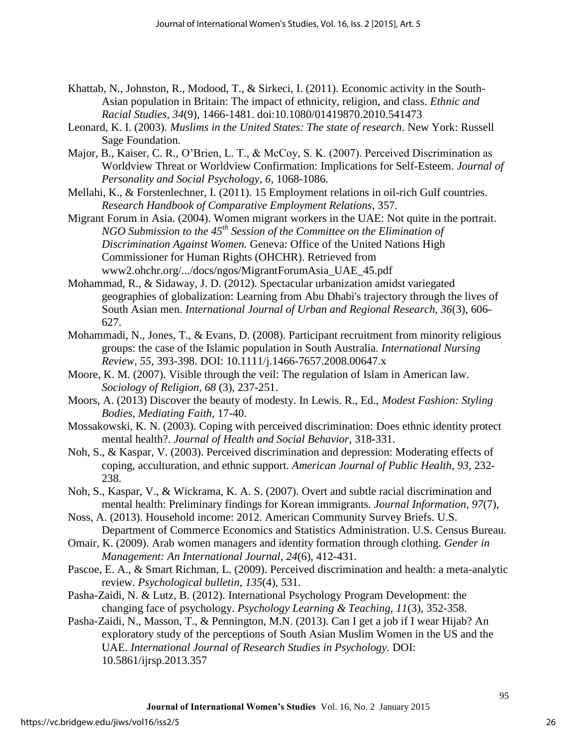- Khattab, N., Johnston, R., Modood, T., & Sirkeci, I. (2011). Economic activity in the South-Asian population in Britain: The impact of ethnicity, religion, and class. *Ethnic and Racial Studies*, *34*(9), 1466-1481. doi:10.1080/01419870.2010.541473
- Leonard, K. I. (2003). *Muslims in the United States: The state of research*. New York: Russell Sage Foundation.
- Major, B., Kaiser, C. R., O'Brien, L. T., & McCoy, S. K. (2007). Perceived Discrimination as Worldview Threat or Worldview Confirmation: Implications for Self-Esteem. *Journal of Personality and Social Psychology, 6,* 1068-1086.
- Mellahi, K., & Forstenlechner, I. (2011). 15 Employment relations in oil-rich Gulf countries. *Research Handbook of Comparative Employment Relations*, 357.
- Migrant Forum in Asia. (2004). Women migrant workers in the UAE: Not quite in the portrait. *NGO Submission to the 45th Session of the Committee on the Elimination of Discrimination Against Women.* Geneva: Office of the United Nations High Commissioner for Human Rights (OHCHR). Retrieved from www2.ohchr.org/.../docs/ngos/MigrantForumAsia\_UAE\_45.pdf
- Mohammad, R., & Sidaway, J. D. (2012). Spectacular urbanization amidst variegated geographies of globalization: Learning from Abu Dhabi's trajectory through the lives of South Asian men. *International Journal of Urban and Regional Research, 36*(3), 606- 627.
- Mohammadi, N., Jones, T., & Evans, D. (2008). Participant recruitment from minority religious groups: the case of the Islamic population in South Australia. *International Nursing Review, 55*, 393-398. DOI: 10.1111/j.1466-7657.2008.00647.x
- Moore, K. M. (2007). Visible through the veil: The regulation of Islam in American law. *Sociology of Religion, 68* (3), 237-251.
- Moors, A. (2013) Discover the beauty of modesty. In Lewis. R., Ed., *Modest Fashion: Styling Bodies, Mediating Faith*, 17-40.
- Mossakowski, K. N. (2003). Coping with perceived discrimination: Does ethnic identity protect mental health?. *Journal of Health and Social Behavior*, 318-331.
- Noh, S., & Kaspar, V. (2003). Perceived discrimination and depression: Moderating effects of coping, acculturation, and ethnic support. *American Journal of Public Health, 93,* 232- 238.
- Noh, S., Kaspar, V., & Wickrama, K. A. S. (2007). Overt and subtle racial discrimination and mental health: Preliminary findings for Korean immigrants. *Journal Information, 97*(7),
- Noss, A. (2013). Household income: 2012. American Community Survey Briefs. U.S. Department of Commerce Economics and Statistics Administration. U.S. Census Bureau.
- Omair, K. (2009). Arab women managers and identity formation through clothing. *Gender in Management: An International Journal*, *24*(6), 412-431.
- Pascoe, E. A., & Smart Richman, L. (2009). Perceived discrimination and health: a meta-analytic review. *Psychological bulletin*, *135*(4), 531.
- Pasha-Zaidi, N. & Lutz, B. (2012). International Psychology Program Development: the changing face of psychology. *Psychology Learning & Teaching, 11*(3), 352-358.
- Pasha-Zaidi, N., Masson, T., & Pennington, M.N. (2013). Can I get a job if I wear Hijab? An exploratory study of the perceptions of South Asian Muslim Women in the US and the UAE. *International Journal of Research Studies in Psychology.* DOI: 10.5861/ijrsp.2013.357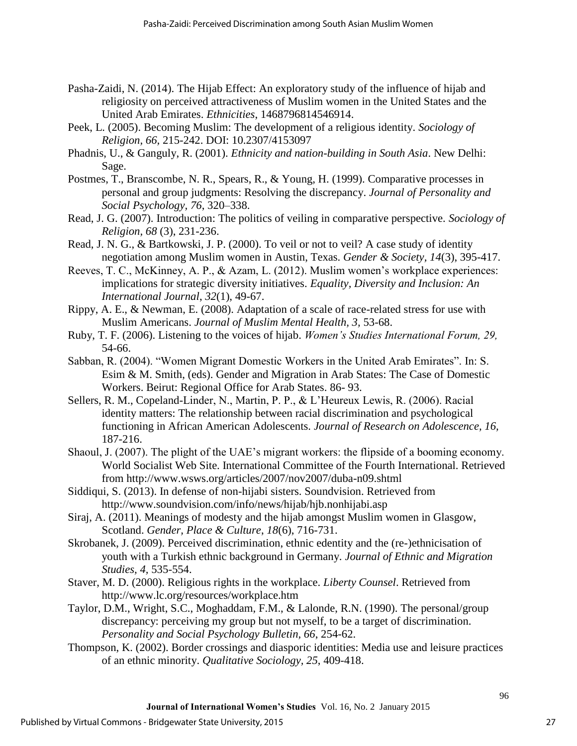- Pasha-Zaidi, N. (2014). The Hijab Effect: An exploratory study of the influence of hijab and religiosity on perceived attractiveness of Muslim women in the United States and the United Arab Emirates. *Ethnicities*, 1468796814546914.
- Peek, L. (2005). Becoming Muslim: The development of a religious identity. *Sociology of Religion, 66,* 215-242. DOI: 10.2307/4153097
- Phadnis, U., & Ganguly, R. (2001). *Ethnicity and nation-building in South Asia*. New Delhi: Sage.
- Postmes, T., Branscombe, N. R., Spears, R., & Young, H. (1999). Comparative processes in personal and group judgments: Resolving the discrepancy. *Journal of Personality and Social Psychology, 76*, 320–338.
- Read, J. G. (2007). Introduction: The politics of veiling in comparative perspective. *Sociology of Religion, 68* (3), 231-236.
- Read, J. N. G., & Bartkowski, J. P. (2000). To veil or not to veil? A case study of identity negotiation among Muslim women in Austin, Texas. *Gender & Society, 14*(3), 395-417.
- Reeves, T. C., McKinney, A. P., & Azam, L. (2012). Muslim women's workplace experiences: implications for strategic diversity initiatives. *Equality, Diversity and Inclusion: An International Journal*, *32*(1), 49-67.
- Rippy, A. E., & Newman, E. (2008). Adaptation of a scale of race-related stress for use with Muslim Americans. *Journal of Muslim Mental Health, 3,* 53-68.
- Ruby, T. F. (2006). Listening to the voices of hijab. *Women's Studies International Forum, 29,*  54-66.
- Sabban, R. (2004). "Women Migrant Domestic Workers in the United Arab Emirates". In: S. Esim & M. Smith, (eds). Gender and Migration in Arab States: The Case of Domestic Workers. Beirut: Regional Office for Arab States. 86- 93.
- Sellers, R. M., Copeland-Linder, N., Martin, P. P., & L'Heureux Lewis, R. (2006). Racial identity matters: The relationship between racial discrimination and psychological functioning in African American Adolescents. *Journal of Research on Adolescence, 16,*  187-216.
- Shaoul, J. (2007). The plight of the UAE's migrant workers: the flipside of a booming economy. World Socialist Web Site. International Committee of the Fourth International. Retrieved from<http://www.wsws.org/articles/2007/nov2007/duba-n09.shtml>
- Siddiqui, S. (2013). In defense of non-hijabi sisters. Soundvision. Retrieved from <http://www.soundvision.com/info/news/hijab/hjb.nonhijabi.asp>
- Siraj, A. (2011). Meanings of modesty and the hijab amongst Muslim women in Glasgow, Scotland. *Gender, Place & Culture*, *18*(6), 716-731.
- Skrobanek, J. (2009). Perceived discrimination, ethnic edentity and the (re-)ethnicisation of youth with a Turkish ethnic background in Germany. *Journal of Ethnic and Migration Studies, 4,* 535-554.
- Staver, M. D. (2000). Religious rights in the workplace. *Liberty Counsel*. Retrieved from <http://www.lc.org/resources/workplace.htm>
- Taylor, D.M., Wright, S.C., Moghaddam, F.M., & Lalonde, R.N. (1990). The personal/group discrepancy: perceiving my group but not myself, to be a target of discrimination. *Personality and Social Psychology Bulletin, 66*, 254-62.
- Thompson, K. (2002). Border crossings and diasporic identities: Media use and leisure practices of an ethnic minority. *Qualitative Sociology, 25*, 409-418.